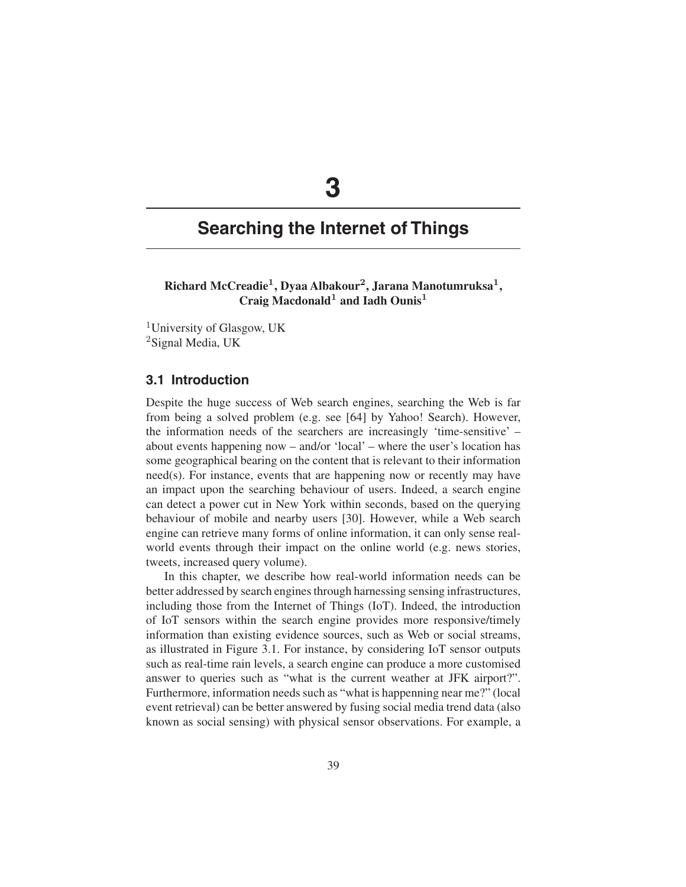# **3**

## **Searching the Internet of Things**

**Richard McCreadie1, Dyaa Albakour2, Jarana Manotumruksa1, Craig Macdonald<sup>1</sup> and Iadh Ounis<sup>1</sup>**

<sup>1</sup>University of Glasgow, UK <sup>2</sup>Signal Media, UK

## **3.1 Introduction**

Despite the huge success of Web search engines, searching the Web is far from being a solved problem (e.g. see [64] by Yahoo! Search). However, the information needs of the searchers are increasingly 'time-sensitive' – about events happening now – and/or 'local' – where the user's location has some geographical bearing on the content that is relevant to their information need(s). For instance, events that are happening now or recently may have an impact upon the searching behaviour of users. Indeed, a search engine can detect a power cut in New York within seconds, based on the querying behaviour of mobile and nearby users [30]. However, while a Web search engine can retrieve many forms of online information, it can only sense realworld events through their impact on the online world (e.g. news stories, tweets, increased query volume).

In this chapter, we describe how real-world information needs can be better addressed by search engines through harnessing sensing infrastructures, including those from the Internet of Things (IoT). Indeed, the introduction of IoT sensors within the search engine provides more responsive/timely information than existing evidence sources, such as Web or social streams, as illustrated in Figure 3.1. For instance, by considering IoT sensor outputs such as real-time rain levels, a search engine can produce a more customised answer to queries such as "what is the current weather at JFK airport?". Furthermore, information needs such as "what is happenning near me?" (local event retrieval) can be better answered by fusing social media trend data (also known as social sensing) with physical sensor observations. For example, a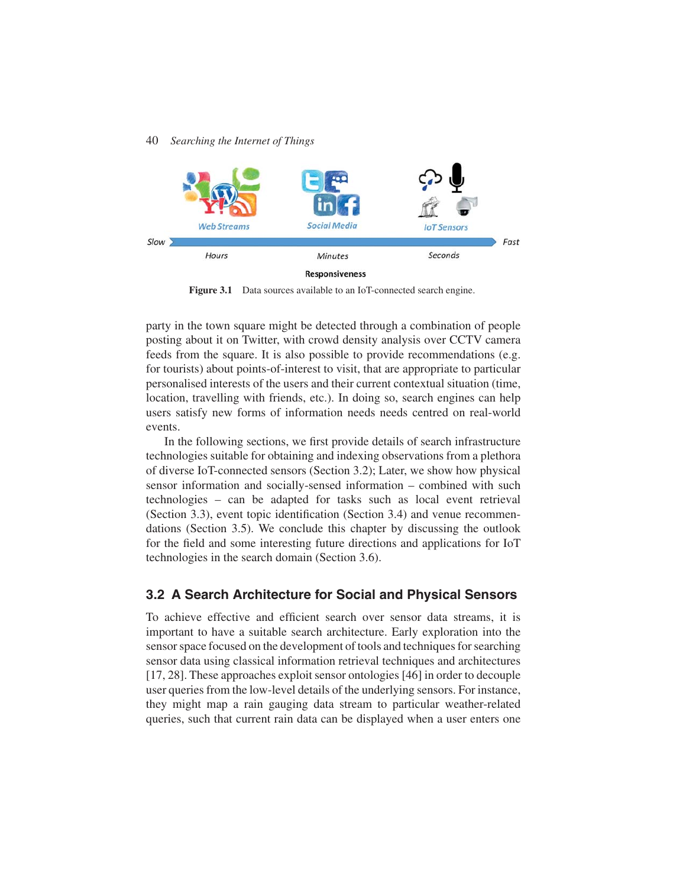

**Responsiveness** 

Figure 3.1 Data sources available to an IoT-connected search engine.

party in the town square might be detected through a combination of people posting about it on Twitter, with crowd density analysis over CCTV camera feeds from the square. It is also possible to provide recommendations (e.g. for tourists) about points-of-interest to visit, that are appropriate to particular personalised interests of the users and their current contextual situation (time, location, travelling with friends, etc.). In doing so, search engines can help users satisfy new forms of information needs needs centred on real-world events.

In the following sections, we first provide details of search infrastructure technologies suitable for obtaining and indexing observations from a plethora of diverse IoT-connected sensors (Section 3.2); Later, we show how physical sensor information and socially-sensed information – combined with such technologies – can be adapted for tasks such as local event retrieval (Section 3.3), event topic identification (Section 3.4) and venue recommendations (Section 3.5). We conclude this chapter by discussing the outlook for the field and some interesting future directions and applications for IoT technologies in the search domain (Section 3.6).

## **3.2 A Search Architecture for Social and Physical Sensors**

To achieve effective and efficient search over sensor data streams, it is important to have a suitable search architecture. Early exploration into the sensor space focused on the development of tools and techniques for searching sensor data using classical information retrieval techniques and architectures [17, 28]. These approaches exploit sensor ontologies [46] in order to decouple user queries from the low-level details of the underlying sensors. For instance, they might map a rain gauging data stream to particular weather-related queries, such that current rain data can be displayed when a user enters one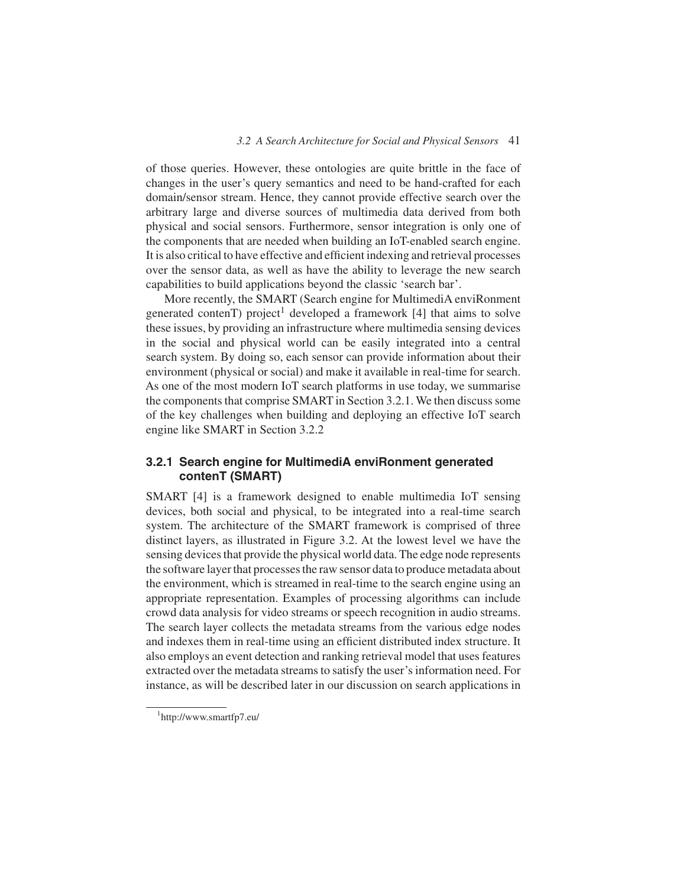of those queries. However, these ontologies are quite brittle in the face of changes in the user's query semantics and need to be hand-crafted for each domain/sensor stream. Hence, they cannot provide effective search over the arbitrary large and diverse sources of multimedia data derived from both physical and social sensors. Furthermore, sensor integration is only one of the components that are needed when building an IoT-enabled search engine. It is also critical to have effective and efficient indexing and retrieval processes over the sensor data, as well as have the ability to leverage the new search capabilities to build applications beyond the classic 'search bar'.

More recently, the SMART (Search engine for MultimediA enviRonment generated contenT) project<sup>1</sup> developed a framework [4] that aims to solve these issues, by providing an infrastructure where multimedia sensing devices in the social and physical world can be easily integrated into a central search system. By doing so, each sensor can provide information about their environment (physical or social) and make it available in real-time for search. As one of the most modern IoT search platforms in use today, we summarise the components that comprise SMART in Section 3.2.1. We then discuss some of the key challenges when building and deploying an effective IoT search engine like SMART in Section 3.2.2

## **3.2.1 Search engine for MultimediA enviRonment generated contenT (SMART)**

SMART [4] is a framework designed to enable multimedia IoT sensing devices, both social and physical, to be integrated into a real-time search system. The architecture of the SMART framework is comprised of three distinct layers, as illustrated in Figure 3.2. At the lowest level we have the sensing devices that provide the physical world data. The edge node represents the software layer that processes the raw sensor data to produce metadata about the environment, which is streamed in real-time to the search engine using an appropriate representation. Examples of processing algorithms can include crowd data analysis for video streams or speech recognition in audio streams. The search layer collects the metadata streams from the various edge nodes and indexes them in real-time using an efficient distributed index structure. It also employs an event detection and ranking retrieval model that uses features extracted over the metadata streams to satisfy the user's information need. For instance, as will be described later in our discussion on search applications in

<sup>1</sup> http://www.smartfp7.eu/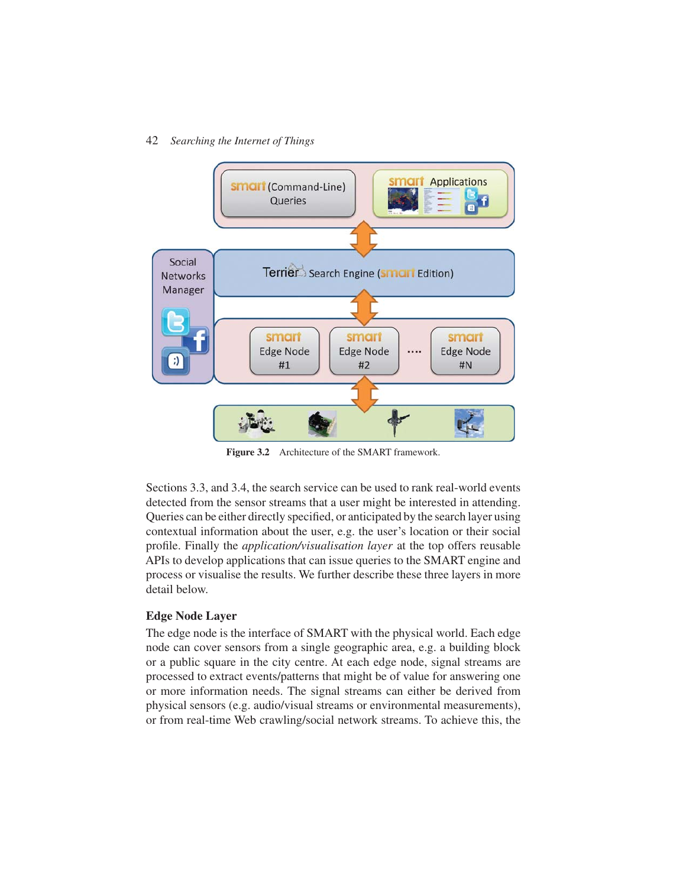

**Figure 3.2** Architecture of the SMART framework.

Sections 3.3, and 3.4, the search service can be used to rank real-world events detected from the sensor streams that a user might be interested in attending. Queries can be either directly specified, or anticipated by the search layer using contextual information about the user, e.g. the user's location or their social profile. Finally the *application/visualisation layer* at the top offers reusable APIs to develop applications that can issue queries to the SMART engine and process or visualise the results. We further describe these three layers in more detail below.

## **Edge Node Layer**

The edge node is the interface of SMART with the physical world. Each edge node can cover sensors from a single geographic area, e.g. a building block or a public square in the city centre. At each edge node, signal streams are processed to extract events/patterns that might be of value for answering one or more information needs. The signal streams can either be derived from physical sensors (e.g. audio/visual streams or environmental measurements), or from real-time Web crawling/social network streams. To achieve this, the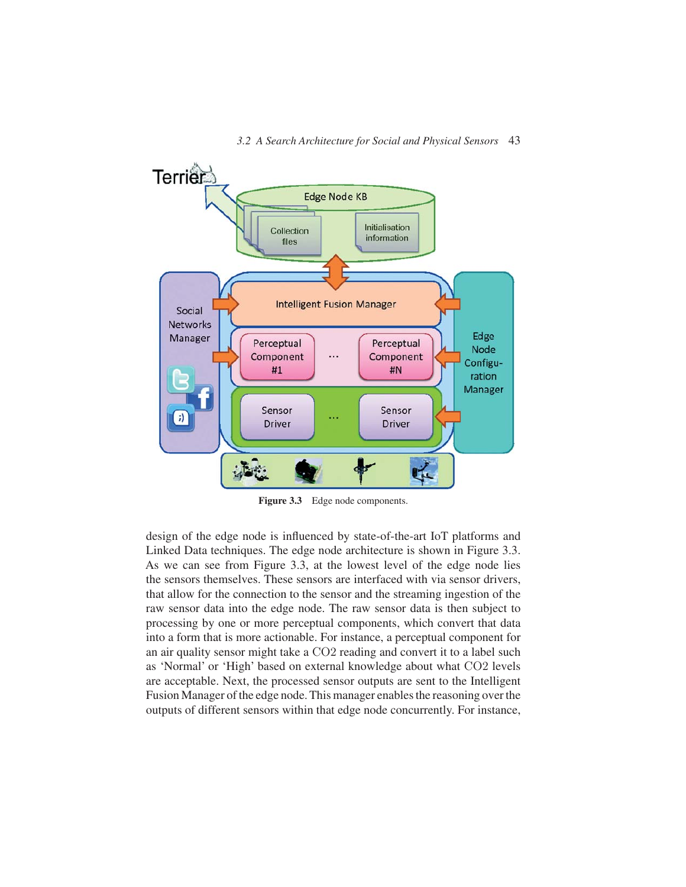

**Figure 3.3** Edge node components.

design of the edge node is influenced by state-of-the-art IoT platforms and Linked Data techniques. The edge node architecture is shown in Figure 3.3. As we can see from Figure 3.3, at the lowest level of the edge node lies the sensors themselves. These sensors are interfaced with via sensor drivers, that allow for the connection to the sensor and the streaming ingestion of the raw sensor data into the edge node. The raw sensor data is then subject to processing by one or more perceptual components, which convert that data into a form that is more actionable. For instance, a perceptual component for an air quality sensor might take a CO2 reading and convert it to a label such as 'Normal' or 'High' based on external knowledge about what CO2 levels are acceptable. Next, the processed sensor outputs are sent to the Intelligent Fusion Manager of the edge node. This manager enables the reasoning over the outputs of different sensors within that edge node concurrently. For instance,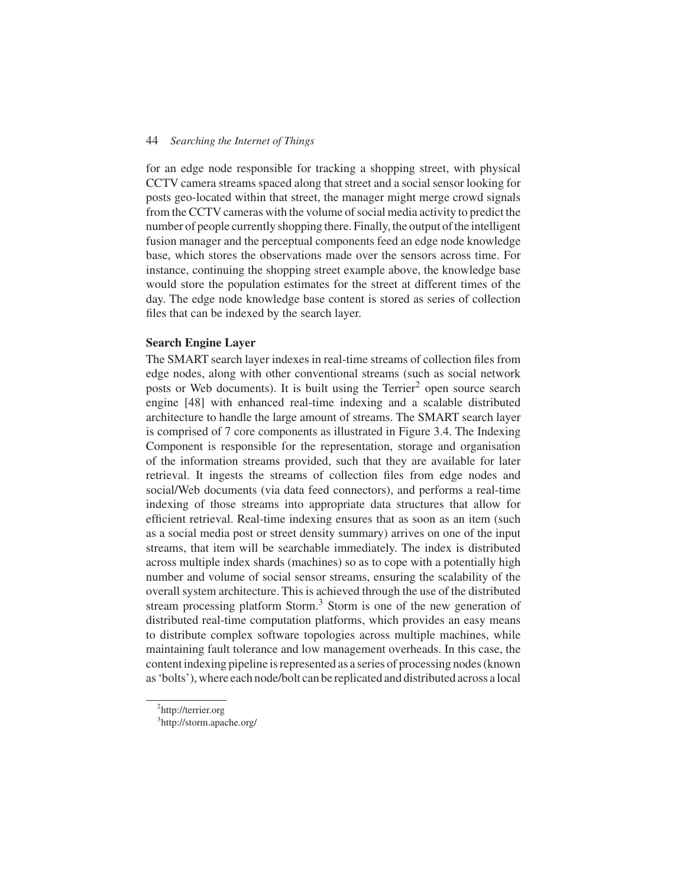for an edge node responsible for tracking a shopping street, with physical CCTV camera streams spaced along that street and a social sensor looking for posts geo-located within that street, the manager might merge crowd signals from the CCTV cameras with the volume of social media activity to predict the number of people currently shopping there. Finally, the output of the intelligent fusion manager and the perceptual components feed an edge node knowledge base, which stores the observations made over the sensors across time. For instance, continuing the shopping street example above, the knowledge base would store the population estimates for the street at different times of the day. The edge node knowledge base content is stored as series of collection files that can be indexed by the search layer.

#### **Search Engine Layer**

The SMART search layer indexes in real-time streams of collection files from edge nodes, along with other conventional streams (such as social network posts or Web documents). It is built using the Terrier<sup>2</sup> open source search engine [48] with enhanced real-time indexing and a scalable distributed architecture to handle the large amount of streams. The SMART search layer is comprised of 7 core components as illustrated in Figure 3.4. The Indexing Component is responsible for the representation, storage and organisation of the information streams provided, such that they are available for later retrieval. It ingests the streams of collection files from edge nodes and social/Web documents (via data feed connectors), and performs a real-time indexing of those streams into appropriate data structures that allow for efficient retrieval. Real-time indexing ensures that as soon as an item (such as a social media post or street density summary) arrives on one of the input streams, that item will be searchable immediately. The index is distributed across multiple index shards (machines) so as to cope with a potentially high number and volume of social sensor streams, ensuring the scalability of the overall system architecture. This is achieved through the use of the distributed stream processing platform Storm.<sup>3</sup> Storm is one of the new generation of distributed real-time computation platforms, which provides an easy means to distribute complex software topologies across multiple machines, while maintaining fault tolerance and low management overheads. In this case, the content indexing pipeline is represented as a series of processing nodes (known as 'bolts'), where each node/bolt can be replicated and distributed across a local

<sup>&</sup>lt;sup>2</sup>http://terrier.org

<sup>&</sup>lt;sup>3</sup>http://storm.apache.org/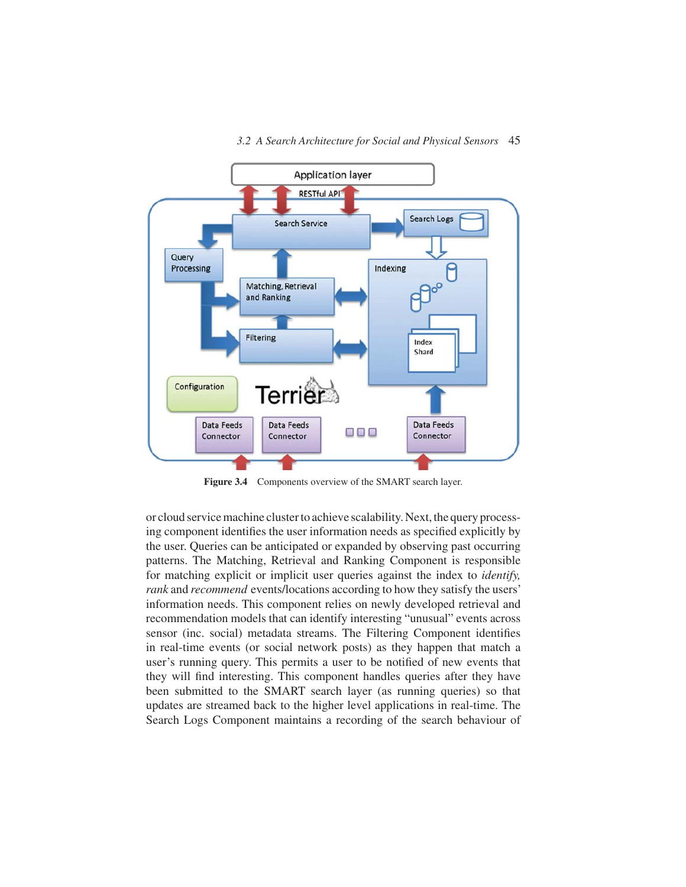

**Figure 3.4** Components overview of the SMART search layer.

or cloud service machine cluster to achieve scalability. Next, the query processing component identifies the user information needs as specified explicitly by the user. Queries can be anticipated or expanded by observing past occurring patterns. The Matching, Retrieval and Ranking Component is responsible for matching explicit or implicit user queries against the index to *identify, rank* and *recommend* events/locations according to how they satisfy the users' information needs. This component relies on newly developed retrieval and recommendation models that can identify interesting "unusual" events across sensor (inc. social) metadata streams. The Filtering Component identifies in real-time events (or social network posts) as they happen that match a user's running query. This permits a user to be notified of new events that they will find interesting. This component handles queries after they have been submitted to the SMART search layer (as running queries) so that updates are streamed back to the higher level applications in real-time. The Search Logs Component maintains a recording of the search behaviour of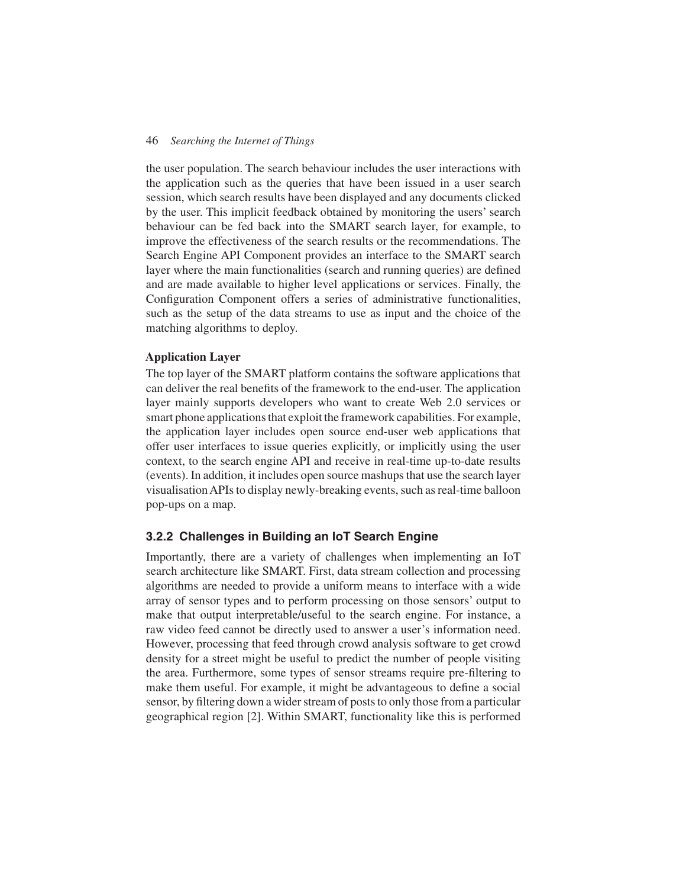the user population. The search behaviour includes the user interactions with the application such as the queries that have been issued in a user search session, which search results have been displayed and any documents clicked by the user. This implicit feedback obtained by monitoring the users' search behaviour can be fed back into the SMART search layer, for example, to improve the effectiveness of the search results or the recommendations. The Search Engine API Component provides an interface to the SMART search layer where the main functionalities (search and running queries) are defined and are made available to higher level applications or services. Finally, the Configuration Component offers a series of administrative functionalities, such as the setup of the data streams to use as input and the choice of the matching algorithms to deploy.

#### **Application Layer**

The top layer of the SMART platform contains the software applications that can deliver the real benefits of the framework to the end-user. The application layer mainly supports developers who want to create Web 2.0 services or smart phone applications that exploit the framework capabilities. For example, the application layer includes open source end-user web applications that offer user interfaces to issue queries explicitly, or implicitly using the user context, to the search engine API and receive in real-time up-to-date results (events). In addition, it includes open source mashups that use the search layer visualisation APIs to display newly-breaking events, such as real-time balloon pop-ups on a map.

## **3.2.2 Challenges in Building an IoT Search Engine**

Importantly, there are a variety of challenges when implementing an IoT search architecture like SMART. First, data stream collection and processing algorithms are needed to provide a uniform means to interface with a wide array of sensor types and to perform processing on those sensors' output to make that output interpretable/useful to the search engine. For instance, a raw video feed cannot be directly used to answer a user's information need. However, processing that feed through crowd analysis software to get crowd density for a street might be useful to predict the number of people visiting the area. Furthermore, some types of sensor streams require pre-filtering to make them useful. For example, it might be advantageous to define a social sensor, by filtering down a wider stream of posts to only those from a particular geographical region [2]. Within SMART, functionality like this is performed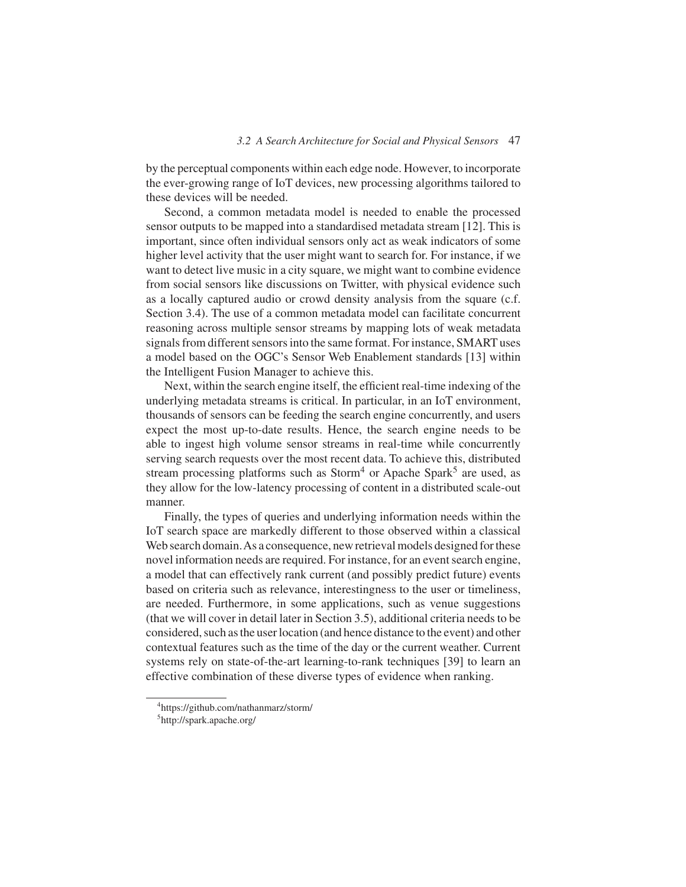by the perceptual components within each edge node. However, to incorporate the ever-growing range of IoT devices, new processing algorithms tailored to these devices will be needed.

Second, a common metadata model is needed to enable the processed sensor outputs to be mapped into a standardised metadata stream [12]. This is important, since often individual sensors only act as weak indicators of some higher level activity that the user might want to search for. For instance, if we want to detect live music in a city square, we might want to combine evidence from social sensors like discussions on Twitter, with physical evidence such as a locally captured audio or crowd density analysis from the square (c.f. Section 3.4). The use of a common metadata model can facilitate concurrent reasoning across multiple sensor streams by mapping lots of weak metadata signals from different sensors into the same format. For instance, SMART uses a model based on the OGC's Sensor Web Enablement standards [13] within the Intelligent Fusion Manager to achieve this.

Next, within the search engine itself, the efficient real-time indexing of the underlying metadata streams is critical. In particular, in an IoT environment, thousands of sensors can be feeding the search engine concurrently, and users expect the most up-to-date results. Hence, the search engine needs to be able to ingest high volume sensor streams in real-time while concurrently serving search requests over the most recent data. To achieve this, distributed stream processing platforms such as  $Storm<sup>4</sup>$  or Apache Spark<sup>5</sup> are used, as they allow for the low-latency processing of content in a distributed scale-out manner.

Finally, the types of queries and underlying information needs within the IoT search space are markedly different to those observed within a classical Web search domain. As a consequence, new retrieval models designed for these novel information needs are required. For instance, for an event search engine, a model that can effectively rank current (and possibly predict future) events based on criteria such as relevance, interestingness to the user or timeliness, are needed. Furthermore, in some applications, such as venue suggestions (that we will cover in detail later in Section 3.5), additional criteria needs to be considered, such as the user location (and hence distance to the event) and other contextual features such as the time of the day or the current weather. Current systems rely on state-of-the-art learning-to-rank techniques [39] to learn an effective combination of these diverse types of evidence when ranking.

<sup>4</sup> https://github.com/nathanmarz/storm/

<sup>5</sup> http://spark.apache.org/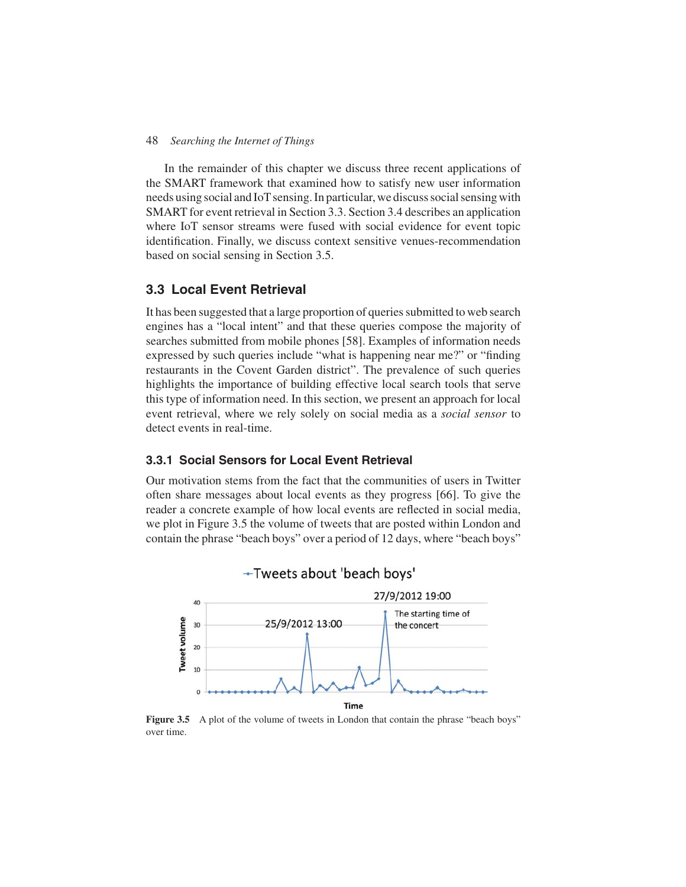In the remainder of this chapter we discuss three recent applications of the SMART framework that examined how to satisfy new user information needs using social and IoT sensing. In particular, we discuss social sensing with SMART for event retrieval in Section 3.3. Section 3.4 describes an application where IoT sensor streams were fused with social evidence for event topic identification. Finally, we discuss context sensitive venues-recommendation based on social sensing in Section 3.5.

## **3.3 Local Event Retrieval**

It has been suggested that a large proportion of queries submitted to web search engines has a "local intent" and that these queries compose the majority of searches submitted from mobile phones [58]. Examples of information needs expressed by such queries include "what is happening near me?" or "finding restaurants in the Covent Garden district". The prevalence of such queries highlights the importance of building effective local search tools that serve this type of information need. In this section, we present an approach for local event retrieval, where we rely solely on social media as a *social sensor* to detect events in real-time.

## **3.3.1 Social Sensors for Local Event Retrieval**

Our motivation stems from the fact that the communities of users in Twitter often share messages about local events as they progress [66]. To give the reader a concrete example of how local events are reflected in social media, we plot in Figure 3.5 the volume of tweets that are posted within London and contain the phrase "beach boys" over a period of 12 days, where "beach boys"



Figure 3.5 A plot of the volume of tweets in London that contain the phrase "beach boys" over time.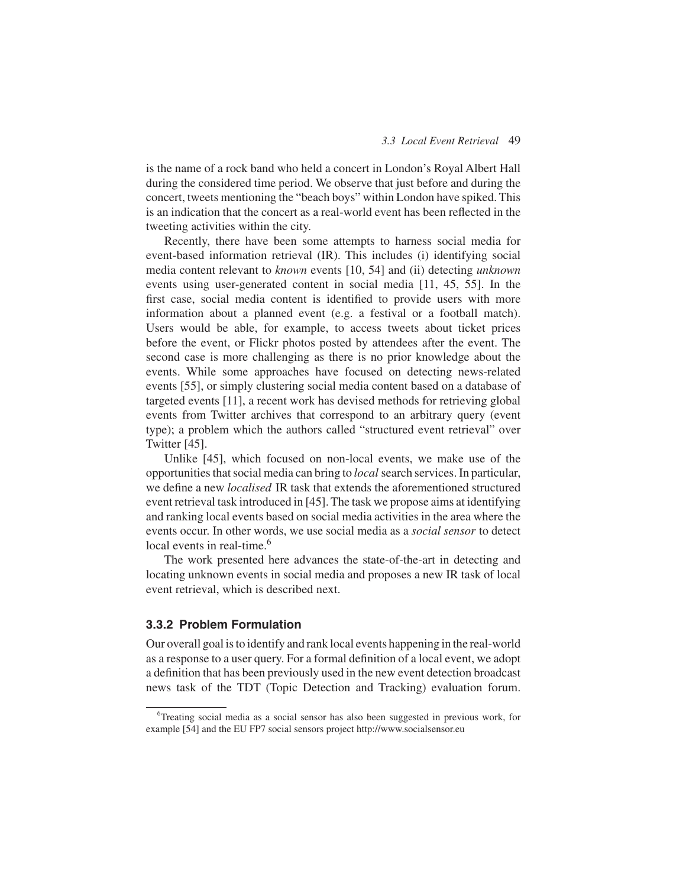is the name of a rock band who held a concert in London's Royal Albert Hall during the considered time period. We observe that just before and during the concert, tweets mentioning the "beach boys" within London have spiked. This is an indication that the concert as a real-world event has been reflected in the tweeting activities within the city.

Recently, there have been some attempts to harness social media for event-based information retrieval (IR). This includes (i) identifying social media content relevant to *known* events [10, 54] and (ii) detecting *unknown* events using user-generated content in social media [11, 45, 55]. In the first case, social media content is identified to provide users with more information about a planned event (e.g. a festival or a football match). Users would be able, for example, to access tweets about ticket prices before the event, or Flickr photos posted by attendees after the event. The second case is more challenging as there is no prior knowledge about the events. While some approaches have focused on detecting news-related events [55], or simply clustering social media content based on a database of targeted events [11], a recent work has devised methods for retrieving global events from Twitter archives that correspond to an arbitrary query (event type); a problem which the authors called "structured event retrieval" over Twitter [45].

Unlike [45], which focused on non-local events, we make use of the opportunities that social media can bring to *local* search services. In particular, we define a new *localised* IR task that extends the aforementioned structured event retrieval task introduced in [45]. The task we propose aims at identifying and ranking local events based on social media activities in the area where the events occur. In other words, we use social media as a *social sensor* to detect local events in real-time.<sup>6</sup>

The work presented here advances the state-of-the-art in detecting and locating unknown events in social media and proposes a new IR task of local event retrieval, which is described next.

## **3.3.2 Problem Formulation**

Our overall goal is to identify and rank local events happening in the real-world as a response to a user query. For a formal definition of a local event, we adopt a definition that has been previously used in the new event detection broadcast news task of the TDT (Topic Detection and Tracking) evaluation forum.

<sup>6</sup> Treating social media as a social sensor has also been suggested in previous work, for example [54] and the EU FP7 social sensors project http://www.socialsensor.eu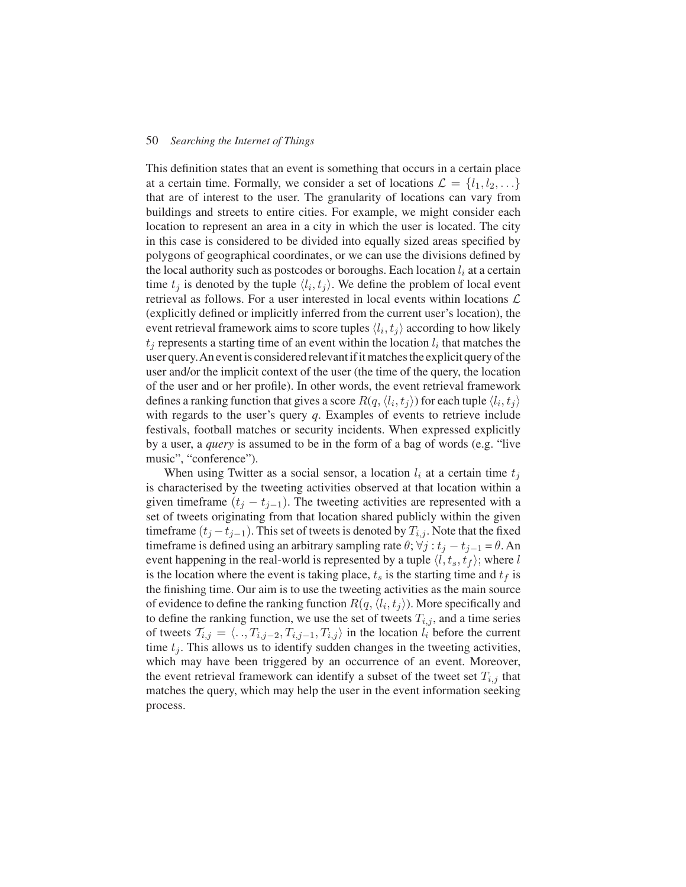This definition states that an event is something that occurs in a certain place at a certain time. Formally, we consider a set of locations  $\mathcal{L} = \{l_1, l_2, \ldots\}$ that are of interest to the user. The granularity of locations can vary from buildings and streets to entire cities. For example, we might consider each location to represent an area in a city in which the user is located. The city in this case is considered to be divided into equally sized areas specified by polygons of geographical coordinates, or we can use the divisions defined by the local authority such as postcodes or boroughs. Each location  $l_i$  at a certain time  $t_j$  is denoted by the tuple  $\langle l_i, t_j \rangle$ . We define the problem of local event retrieval as follows. For a user interested in local events within locations  $\mathcal L$ (explicitly defined or implicitly inferred from the current user's location), the event retrieval framework aims to score tuples  $\langle l_i, t_j \rangle$  according to how likely  $t_i$  represents a starting time of an event within the location  $l_i$  that matches the user query.An event is considered relevant if it matches the explicit query of the user and/or the implicit context of the user (the time of the query, the location of the user and or her profile). In other words, the event retrieval framework defines a ranking function that gives a score  $R(q, \langle l_i, t_j \rangle)$  for each tuple  $\langle l_i, t_j \rangle$ with regards to the user's query *q*. Examples of events to retrieve include festivals, football matches or security incidents. When expressed explicitly by a user, a *query* is assumed to be in the form of a bag of words (e.g. "live music", "conference").

When using Twitter as a social sensor, a location  $l_i$  at a certain time  $t_j$ is characterised by the tweeting activities observed at that location within a given timeframe  $(t_j - t_{j-1})$ . The tweeting activities are represented with a set of tweets originating from that location shared publicly within the given timeframe  $(t_j - t_{j-1})$ . This set of tweets is denoted by  $T_{i,j}$ . Note that the fixed timeframe is defined using an arbitrary sampling rate  $\theta$ ;  $\forall j : t_j - t_{j-1} = \theta$ . An event happening in the real-world is represented by a tuple  $\langle l, t_s, t_f \rangle$ ; where l is the location where the event is taking place,  $t_s$  is the starting time and  $t_f$  is the finishing time. Our aim is to use the tweeting activities as the main source of evidence to define the ranking function  $R(q, \langle l_i, t_j \rangle)$ . More specifically and to define the ranking function, we use the set of tweets  $T_{i,j}$ , and a time series of tweets  $T_{i,j} = \langle \dots, T_{i,j-2}, T_{i,j-1}, T_{i,j} \rangle$  in the location  $l_i$  before the current time  $t_i$ . This allows us to identify sudden changes in the tweeting activities, which may have been triggered by an occurrence of an event. Moreover, the event retrieval framework can identify a subset of the tweet set  $T_{i,j}$  that matches the query, which may help the user in the event information seeking process.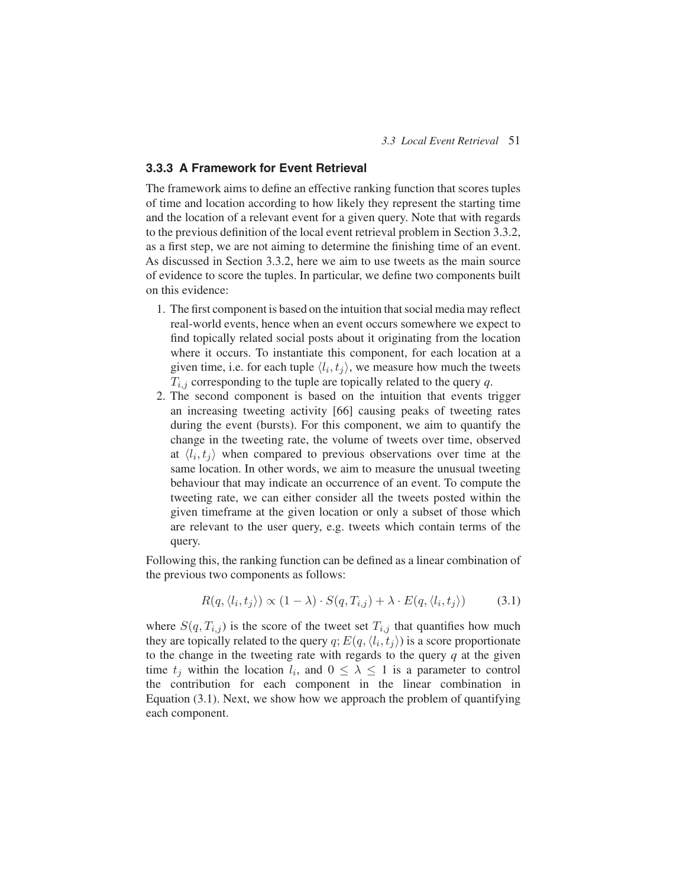## **3.3.3 A Framework for Event Retrieval**

The framework aims to define an effective ranking function that scores tuples of time and location according to how likely they represent the starting time and the location of a relevant event for a given query. Note that with regards to the previous definition of the local event retrieval problem in Section 3.3.2, as a first step, we are not aiming to determine the finishing time of an event. As discussed in Section 3.3.2, here we aim to use tweets as the main source of evidence to score the tuples. In particular, we define two components built on this evidence:

- 1. The first component is based on the intuition that social media may reflect real-world events, hence when an event occurs somewhere we expect to find topically related social posts about it originating from the location where it occurs. To instantiate this component, for each location at a given time, i.e. for each tuple  $\langle l_i, t_j \rangle$ , we measure how much the tweets  $T_{i,j}$  corresponding to the tuple are topically related to the query  $q$ .
- 2. The second component is based on the intuition that events trigger an increasing tweeting activity [66] causing peaks of tweeting rates during the event (bursts). For this component, we aim to quantify the change in the tweeting rate, the volume of tweets over time, observed at  $\langle l_i, t_j \rangle$  when compared to previous observations over time at the same location. In other words, we aim to measure the unusual tweeting behaviour that may indicate an occurrence of an event. To compute the tweeting rate, we can either consider all the tweets posted within the given timeframe at the given location or only a subset of those which are relevant to the user query, e.g. tweets which contain terms of the query.

Following this, the ranking function can be defined as a linear combination of the previous two components as follows:

$$
R(q, \langle l_i, t_j \rangle) \propto (1 - \lambda) \cdot S(q, T_{i,j}) + \lambda \cdot E(q, \langle l_i, t_j \rangle)
$$
 (3.1)

where  $S(q, T_{i,j})$  is the score of the tweet set  $T_{i,j}$  that quantifies how much they are topically related to the query  $q; E(q, \langle l_i, t_j \rangle)$  is a score proportionate to the change in the tweeting rate with regards to the query *q* at the given time  $t_i$  within the location  $l_i$ , and  $0 \leq \lambda \leq 1$  is a parameter to control the contribution for each component in the linear combination in Equation (3.1). Next, we show how we approach the problem of quantifying each component.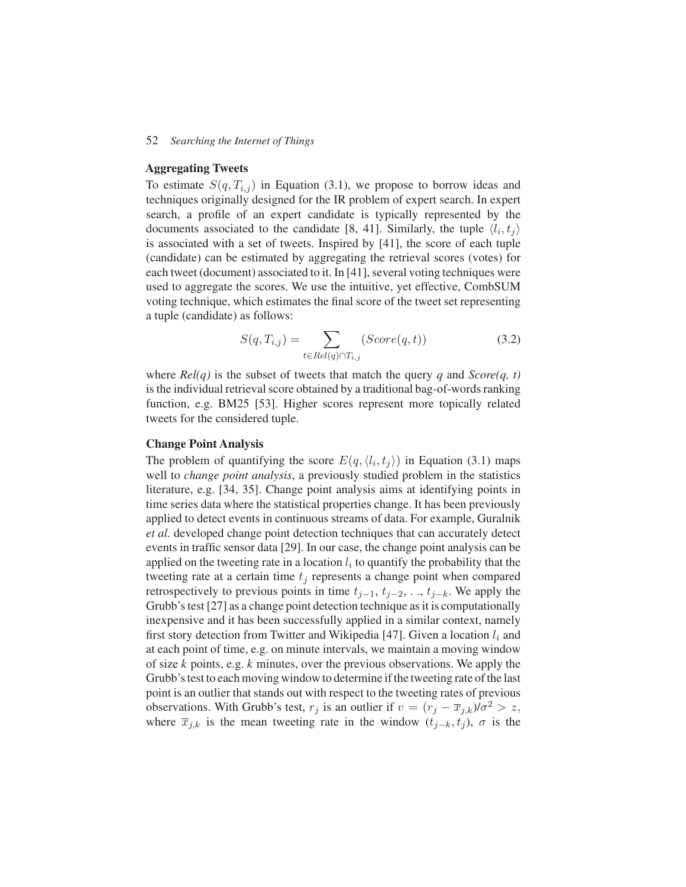#### **Aggregating Tweets**

To estimate  $S(q, T_{i,j})$  in Equation (3.1), we propose to borrow ideas and techniques originally designed for the IR problem of expert search. In expert search, a profile of an expert candidate is typically represented by the documents associated to the candidate [8, 41]. Similarly, the tuple  $\langle l_i, t_j \rangle$ is associated with a set of tweets. Inspired by [41], the score of each tuple (candidate) can be estimated by aggregating the retrieval scores (votes) for each tweet (document) associated to it. In [41], several voting techniques were used to aggregate the scores. We use the intuitive, yet effective, CombSUM voting technique, which estimates the final score of the tweet set representing a tuple (candidate) as follows:

$$
S(q, T_{i,j}) = \sum_{t \in Rel(q) \cap T_{i,j}} (Score(q, t))
$$
\n(3.2)

where *Rel(q)* is the subset of tweets that match the query *q* and *Score(q, t)* is the individual retrieval score obtained by a traditional bag-of-words ranking function, e.g. BM25 [53]. Higher scores represent more topically related tweets for the considered tuple.

## **Change Point Analysis**

The problem of quantifying the score  $E(q, \langle l_i, t_j \rangle)$  in Equation (3.1) maps well to *change point analysis*, a previously studied problem in the statistics literature, e.g. [34, 35]. Change point analysis aims at identifying points in time series data where the statistical properties change. It has been previously applied to detect events in continuous streams of data. For example, Guralnik *et al.* developed change point detection techniques that can accurately detect events in traffic sensor data [29]. In our case, the change point analysis can be applied on the tweeting rate in a location  $l_i$  to quantify the probability that the tweeting rate at a certain time  $t_i$  represents a change point when compared retrospectively to previous points in time  $t_{j-1}, t_{j-2}, \ldots, t_{j-k}$ . We apply the Grubb's test [27] as a change point detection technique as it is computationally inexpensive and it has been successfully applied in a similar context, namely first story detection from Twitter and Wikipedia [47]. Given a location  $l_i$  and at each point of time, e.g. on minute intervals, we maintain a moving window of size *k* points, e.g. *k* minutes, over the previous observations. We apply the Grubb's test to each moving window to determine if the tweeting rate of the last point is an outlier that stands out with respect to the tweeting rates of previous observations. With Grubb's test,  $r_j$  is an outlier if  $v = (r_j - \overline{x}_{j,k})/\sigma^2 > z$ , where  $\overline{x}_{i,k}$  is the mean tweeting rate in the window  $(t_{i-k}, t_i)$ ,  $\sigma$  is the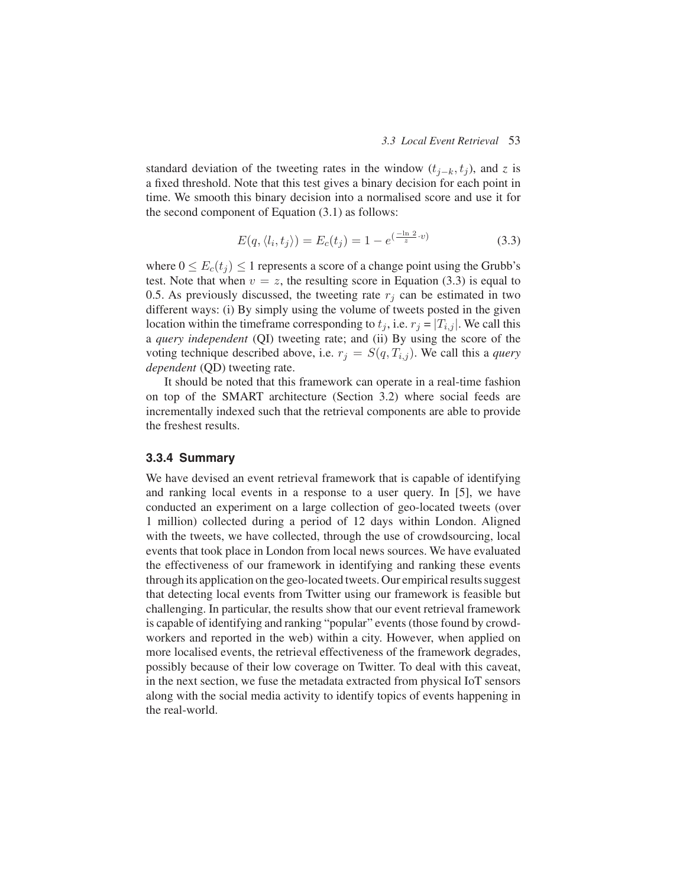standard deviation of the tweeting rates in the window  $(t_{j-k}, t_j)$ , and *z* is a fixed threshold. Note that this test gives a binary decision for each point in time. We smooth this binary decision into a normalised score and use it for the second component of Equation (3.1) as follows:

$$
E(q, \langle l_i, t_j \rangle) = E_c(t_j) = 1 - e^{\left(\frac{-\ln 2}{z} \cdot v\right)}
$$
\n(3.3)

where  $0 \le E_c(t_j) \le 1$  represents a score of a change point using the Grubb's test. Note that when  $v = z$ , the resulting score in Equation (3.3) is equal to 0.5. As previously discussed, the tweeting rate  $r_i$  can be estimated in two different ways: (i) By simply using the volume of tweets posted in the given location within the timeframe corresponding to  $t_j$ , i.e.  $r_j = |T_{i,j}|$ . We call this a *query independent* (QI) tweeting rate; and (ii) By using the score of the voting technique described above, i.e.  $r_j = S(q, T_{i,j})$ . We call this a *query dependent* (QD) tweeting rate.

It should be noted that this framework can operate in a real-time fashion on top of the SMART architecture (Section 3.2) where social feeds are incrementally indexed such that the retrieval components are able to provide the freshest results.

#### **3.3.4 Summary**

We have devised an event retrieval framework that is capable of identifying and ranking local events in a response to a user query. In [5], we have conducted an experiment on a large collection of geo-located tweets (over 1 million) collected during a period of 12 days within London. Aligned with the tweets, we have collected, through the use of crowdsourcing, local events that took place in London from local news sources. We have evaluated the effectiveness of our framework in identifying and ranking these events through its application on the geo-located tweets. Our empirical results suggest that detecting local events from Twitter using our framework is feasible but challenging. In particular, the results show that our event retrieval framework is capable of identifying and ranking "popular" events (those found by crowdworkers and reported in the web) within a city. However, when applied on more localised events, the retrieval effectiveness of the framework degrades, possibly because of their low coverage on Twitter. To deal with this caveat, in the next section, we fuse the metadata extracted from physical IoT sensors along with the social media activity to identify topics of events happening in the real-world.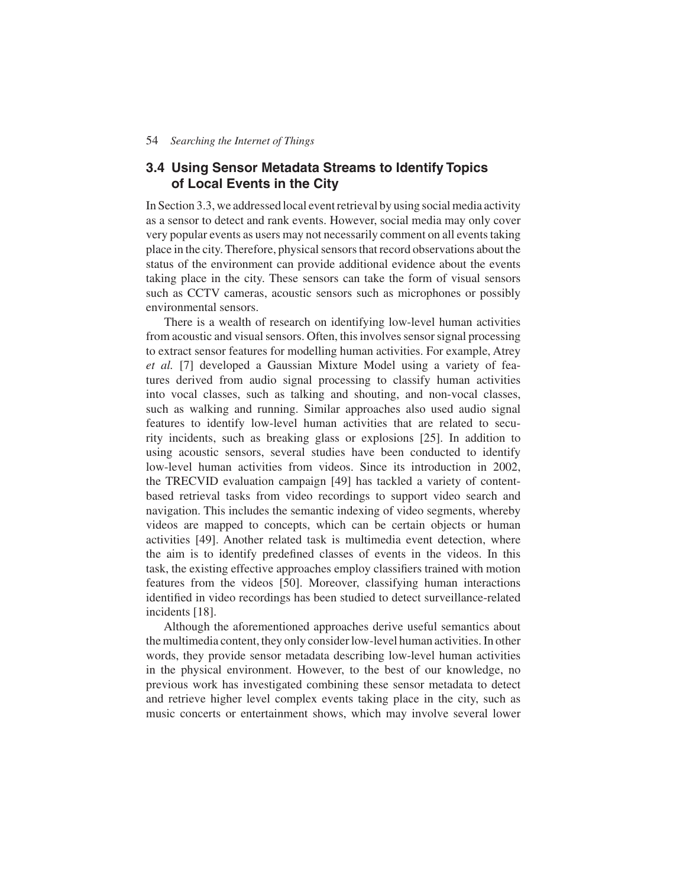## **3.4 Using Sensor Metadata Streams to Identify Topics of Local Events in the City**

In Section 3.3, we addressed local event retrieval by using social media activity as a sensor to detect and rank events. However, social media may only cover very popular events as users may not necessarily comment on all events taking place in the city. Therefore, physical sensors that record observations about the status of the environment can provide additional evidence about the events taking place in the city. These sensors can take the form of visual sensors such as CCTV cameras, acoustic sensors such as microphones or possibly environmental sensors.

There is a wealth of research on identifying low-level human activities from acoustic and visual sensors. Often, this involves sensor signal processing to extract sensor features for modelling human activities. For example, Atrey *et al.* [7] developed a Gaussian Mixture Model using a variety of features derived from audio signal processing to classify human activities into vocal classes, such as talking and shouting, and non-vocal classes, such as walking and running. Similar approaches also used audio signal features to identify low-level human activities that are related to security incidents, such as breaking glass or explosions [25]. In addition to using acoustic sensors, several studies have been conducted to identify low-level human activities from videos. Since its introduction in 2002, the TRECVID evaluation campaign [49] has tackled a variety of contentbased retrieval tasks from video recordings to support video search and navigation. This includes the semantic indexing of video segments, whereby videos are mapped to concepts, which can be certain objects or human activities [49]. Another related task is multimedia event detection, where the aim is to identify predefined classes of events in the videos. In this task, the existing effective approaches employ classifiers trained with motion features from the videos [50]. Moreover, classifying human interactions identified in video recordings has been studied to detect surveillance-related incidents [18].

Although the aforementioned approaches derive useful semantics about the multimedia content, they only consider low-level human activities. In other words, they provide sensor metadata describing low-level human activities in the physical environment. However, to the best of our knowledge, no previous work has investigated combining these sensor metadata to detect and retrieve higher level complex events taking place in the city, such as music concerts or entertainment shows, which may involve several lower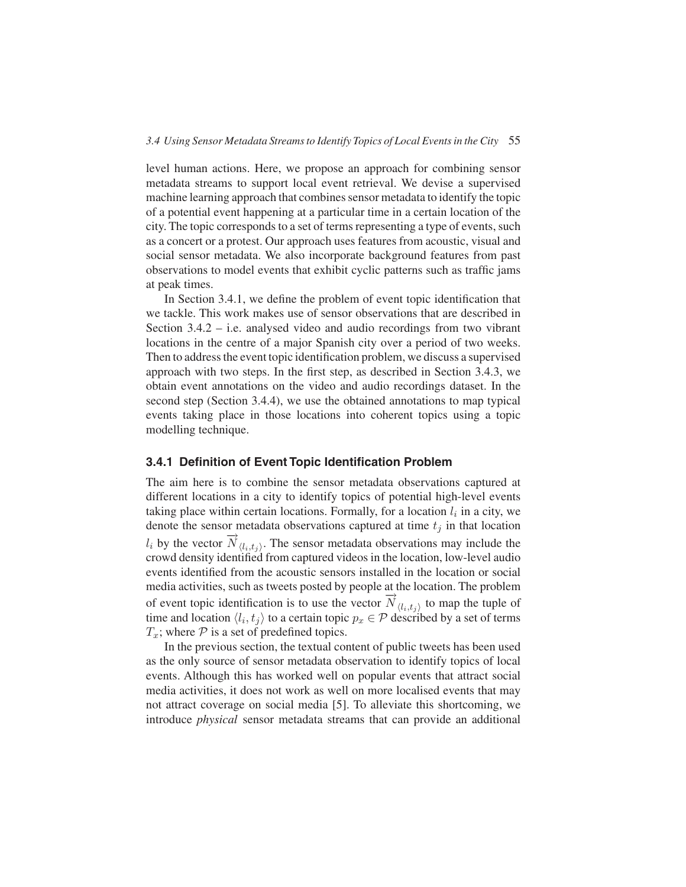level human actions. Here, we propose an approach for combining sensor metadata streams to support local event retrieval. We devise a supervised machine learning approach that combines sensor metadata to identify the topic of a potential event happening at a particular time in a certain location of the city. The topic corresponds to a set of terms representing a type of events, such as a concert or a protest. Our approach uses features from acoustic, visual and social sensor metadata. We also incorporate background features from past observations to model events that exhibit cyclic patterns such as traffic jams at peak times.

In Section 3.4.1, we define the problem of event topic identification that we tackle. This work makes use of sensor observations that are described in Section 3.4.2 – i.e. analysed video and audio recordings from two vibrant locations in the centre of a major Spanish city over a period of two weeks. Then to address the event topic identification problem, we discuss a supervised approach with two steps. In the first step, as described in Section 3.4.3, we obtain event annotations on the video and audio recordings dataset. In the second step (Section 3.4.4), we use the obtained annotations to map typical events taking place in those locations into coherent topics using a topic modelling technique.

## **3.4.1 Definition of Event Topic Identification Problem**

The aim here is to combine the sensor metadata observations captured at different locations in a city to identify topics of potential high-level events taking place within certain locations. Formally, for a location  $l_i$  in a city, we denote the sensor metadata observations captured at time  $t_j$  in that location  $l_i$  by the vector  $\overrightarrow{N}_{\langle l_i,t_j\rangle}$ . The sensor metadata observations may include the crowd density identified from captured videos in the location, low-level audio events identified from the acoustic sensors installed in the location or social media activities, such as tweets posted by people at the location. The problem of event topic identification is to use the vector  $\overrightarrow{N}_{(l_i,t_j)}$  to map the tuple of time and location  $\langle l_i, t_j \rangle$  to a certain topic  $p_x \in \mathcal{P}$  described by a set of terms  $T_x$ ; where  $P$  is a set of predefined topics.

In the previous section, the textual content of public tweets has been used as the only source of sensor metadata observation to identify topics of local events. Although this has worked well on popular events that attract social media activities, it does not work as well on more localised events that may not attract coverage on social media [5]. To alleviate this shortcoming, we introduce *physical* sensor metadata streams that can provide an additional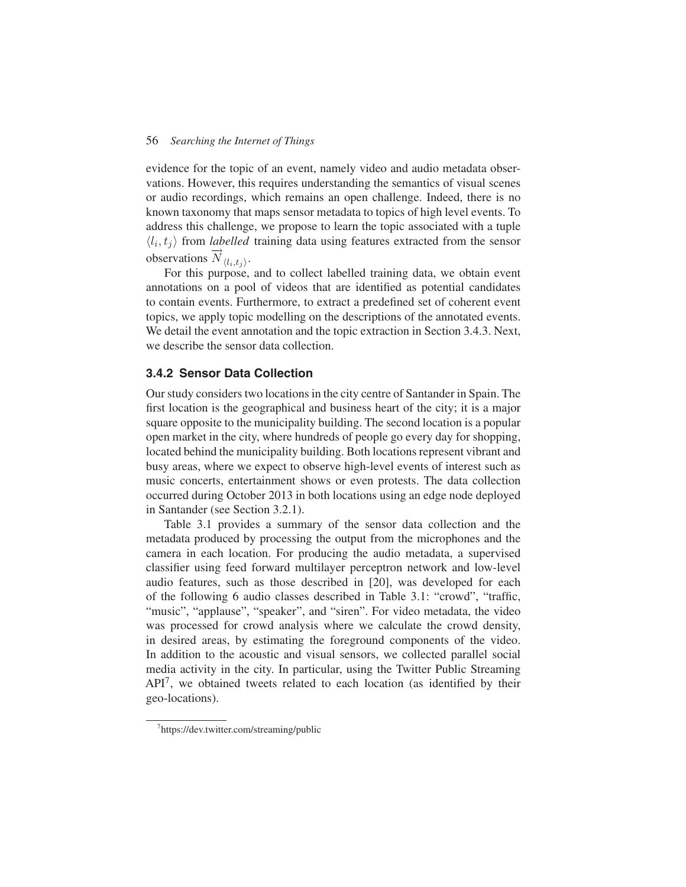evidence for the topic of an event, namely video and audio metadata observations. However, this requires understanding the semantics of visual scenes or audio recordings, which remains an open challenge. Indeed, there is no known taxonomy that maps sensor metadata to topics of high level events. To address this challenge, we propose to learn the topic associated with a tuple  $\langle l_i, t_j \rangle$  from *labelled* training data using features extracted from the sensor observations  $\overline{N}_{\langle l_i,t_i \rangle}$ .

For this purpose, and to collect labelled training data, we obtain event annotations on a pool of videos that are identified as potential candidates to contain events. Furthermore, to extract a predefined set of coherent event topics, we apply topic modelling on the descriptions of the annotated events. We detail the event annotation and the topic extraction in Section 3.4.3. Next, we describe the sensor data collection.

## **3.4.2 Sensor Data Collection**

Our study considers two locations in the city centre of Santander in Spain. The first location is the geographical and business heart of the city; it is a major square opposite to the municipality building. The second location is a popular open market in the city, where hundreds of people go every day for shopping, located behind the municipality building. Both locations represent vibrant and busy areas, where we expect to observe high-level events of interest such as music concerts, entertainment shows or even protests. The data collection occurred during October 2013 in both locations using an edge node deployed in Santander (see Section 3.2.1).

Table 3.1 provides a summary of the sensor data collection and the metadata produced by processing the output from the microphones and the camera in each location. For producing the audio metadata, a supervised classifier using feed forward multilayer perceptron network and low-level audio features, such as those described in [20], was developed for each of the following 6 audio classes described in Table 3.1: "crowd", "traffic, "music", "applause", "speaker", and "siren". For video metadata, the video was processed for crowd analysis where we calculate the crowd density, in desired areas, by estimating the foreground components of the video. In addition to the acoustic and visual sensors, we collected parallel social media activity in the city. In particular, using the Twitter Public Streaming API<sup>7</sup>, we obtained tweets related to each location (as identified by their geo-locations).

<sup>7</sup> https://dev.twitter.com/streaming/public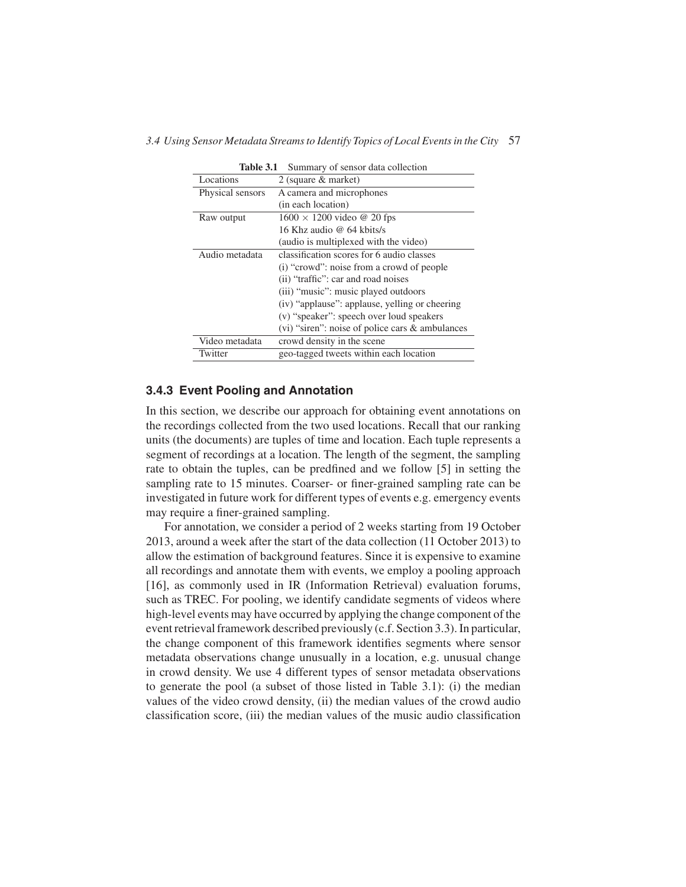| <b>Table 3.1</b> | Summary of sensor data collection                    |
|------------------|------------------------------------------------------|
| Locations        | 2 (square & market)                                  |
| Physical sensors | A camera and microphones                             |
|                  | (in each location)                                   |
| Raw output       | $1600 \times 1200$ video @ 20 fps                    |
|                  | 16 Khz audio @ 64 kbits/s                            |
|                  | (audio is multiplexed with the video)                |
| Audio metadata   | classification scores for 6 audio classes            |
|                  | (i) "crowd": noise from a crowd of people            |
|                  | (ii) "traffic": car and road noises                  |
|                  | (iii) "music": music played outdoors                 |
|                  | (iv) "applause": applause, yelling or cheering       |
|                  | (v) "speaker": speech over loud speakers             |
|                  | $(vi)$ "siren": noise of police cars $\&$ ambulances |
| Video metadata   | crowd density in the scene                           |
| Twitter          | geo-tagged tweets within each location               |

## **3.4.3 Event Pooling and Annotation**

In this section, we describe our approach for obtaining event annotations on the recordings collected from the two used locations. Recall that our ranking units (the documents) are tuples of time and location. Each tuple represents a segment of recordings at a location. The length of the segment, the sampling rate to obtain the tuples, can be predfined and we follow [5] in setting the sampling rate to 15 minutes. Coarser- or finer-grained sampling rate can be investigated in future work for different types of events e.g. emergency events may require a finer-grained sampling.

For annotation, we consider a period of 2 weeks starting from 19 October 2013, around a week after the start of the data collection (11 October 2013) to allow the estimation of background features. Since it is expensive to examine all recordings and annotate them with events, we employ a pooling approach [16], as commonly used in IR (Information Retrieval) evaluation forums, such as TREC. For pooling, we identify candidate segments of videos where high-level events may have occurred by applying the change component of the event retrieval framework described previously (c.f. Section 3.3). In particular, the change component of this framework identifies segments where sensor metadata observations change unusually in a location, e.g. unusual change in crowd density. We use 4 different types of sensor metadata observations to generate the pool (a subset of those listed in Table 3.1): (i) the median values of the video crowd density, (ii) the median values of the crowd audio classification score, (iii) the median values of the music audio classification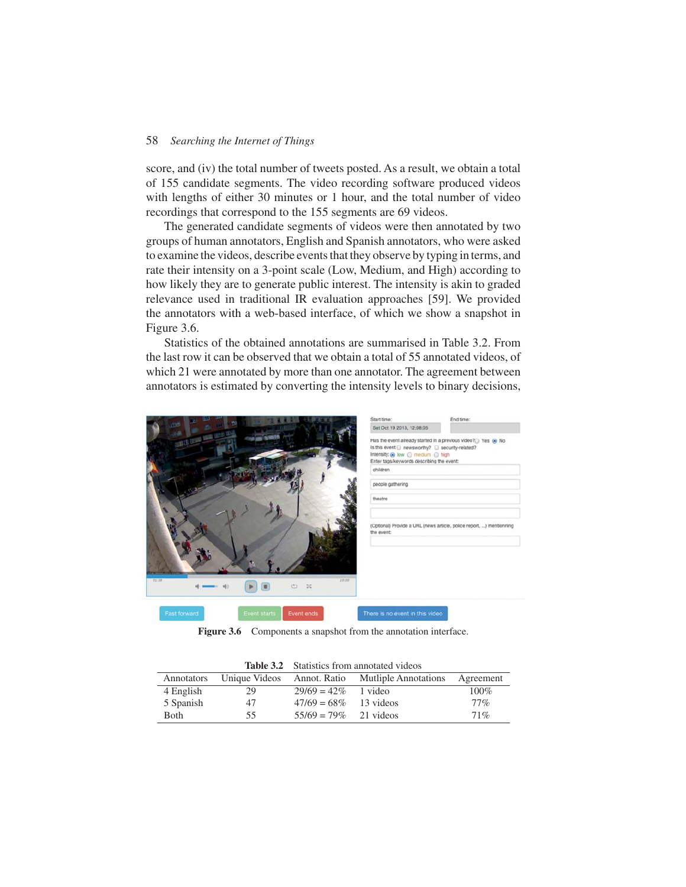score, and (iv) the total number of tweets posted. As a result, we obtain a total of 155 candidate segments. The video recording software produced videos with lengths of either 30 minutes or 1 hour, and the total number of video recordings that correspond to the 155 segments are 69 videos.

The generated candidate segments of videos were then annotated by two groups of human annotators, English and Spanish annotators, who were asked to examine the videos, describe events that they observe by typing in terms, and rate their intensity on a 3-point scale (Low, Medium, and High) according to how likely they are to generate public interest. The intensity is akin to graded relevance used in traditional IR evaluation approaches [59]. We provided the annotators with a web-based interface, of which we show a snapshot in Figure 3.6.

Statistics of the obtained annotations are summarised in Table 3.2. From the last row it can be observed that we obtain a total of 55 annotated videos, of which 21 were annotated by more than one annotator. The agreement between annotators is estimated by converting the intensity levels to binary decisions,



Figure 3.6 Components a snapshot from the annotation interface.

|             |    |                          | <b>Table 3.2</b> Statistics from annotated videos |           |
|-------------|----|--------------------------|---------------------------------------------------|-----------|
| Annotators  |    |                          | Unique Videos Annot. Ratio Mutliple Annotations   | Agreement |
| 4 English   | 29 | $29/69 = 42\%$ 1 video   |                                                   | $100\%$   |
| 5 Spanish   | 47 | $47/69 = 68\%$ 13 videos |                                                   | $77\%$    |
| <b>Both</b> | 55 | $55/69 = 79\%$ 21 videos |                                                   | 71%       |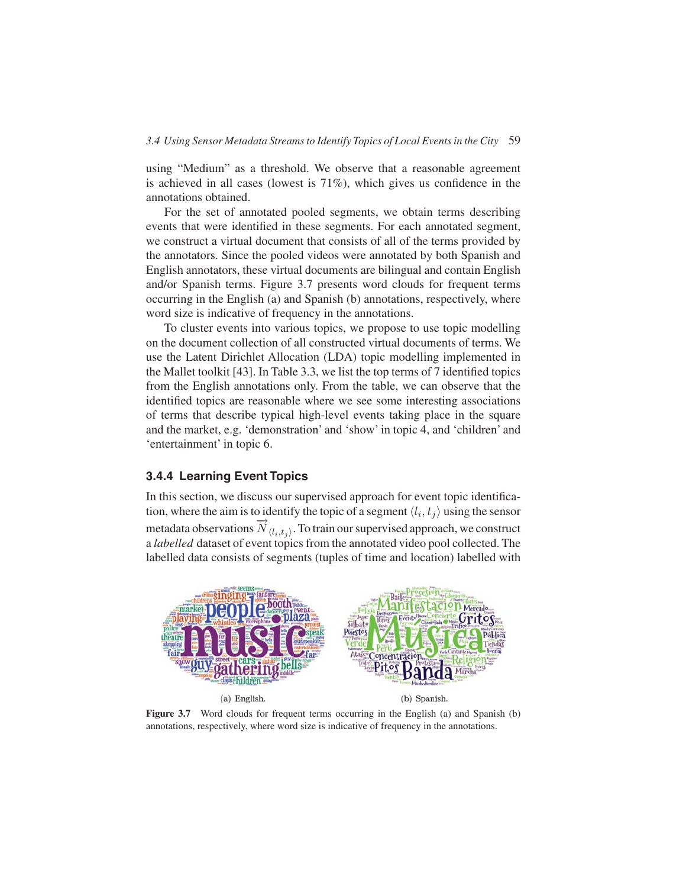using "Medium" as a threshold. We observe that a reasonable agreement is achieved in all cases (lowest is 71%), which gives us confidence in the annotations obtained.

For the set of annotated pooled segments, we obtain terms describing events that were identified in these segments. For each annotated segment, we construct a virtual document that consists of all of the terms provided by the annotators. Since the pooled videos were annotated by both Spanish and English annotators, these virtual documents are bilingual and contain English and/or Spanish terms. Figure 3.7 presents word clouds for frequent terms occurring in the English (a) and Spanish (b) annotations, respectively, where word size is indicative of frequency in the annotations.

To cluster events into various topics, we propose to use topic modelling on the document collection of all constructed virtual documents of terms. We use the Latent Dirichlet Allocation (LDA) topic modelling implemented in the Mallet toolkit [43]. In Table 3.3, we list the top terms of 7 identified topics from the English annotations only. From the table, we can observe that the identified topics are reasonable where we see some interesting associations of terms that describe typical high-level events taking place in the square and the market, e.g. 'demonstration' and 'show' in topic 4, and 'children' and 'entertainment' in topic 6.

## **3.4.4 Learning Event Topics**

In this section, we discuss our supervised approach for event topic identification, where the aim is to identify the topic of a segment  $\langle l_i, t_j \rangle$  using the sensor metadata observations  $\overrightarrow{N}_{(l_i,t_j)}$ . To train our supervised approach, we construct a *labelled* dataset of event topics from the annotated video pool collected. The labelled data consists of segments (tuples of time and location) labelled with



Figure 3.7 Word clouds for frequent terms occurring in the English (a) and Spanish (b) annotations, respectively, where word size is indicative of frequency in the annotations.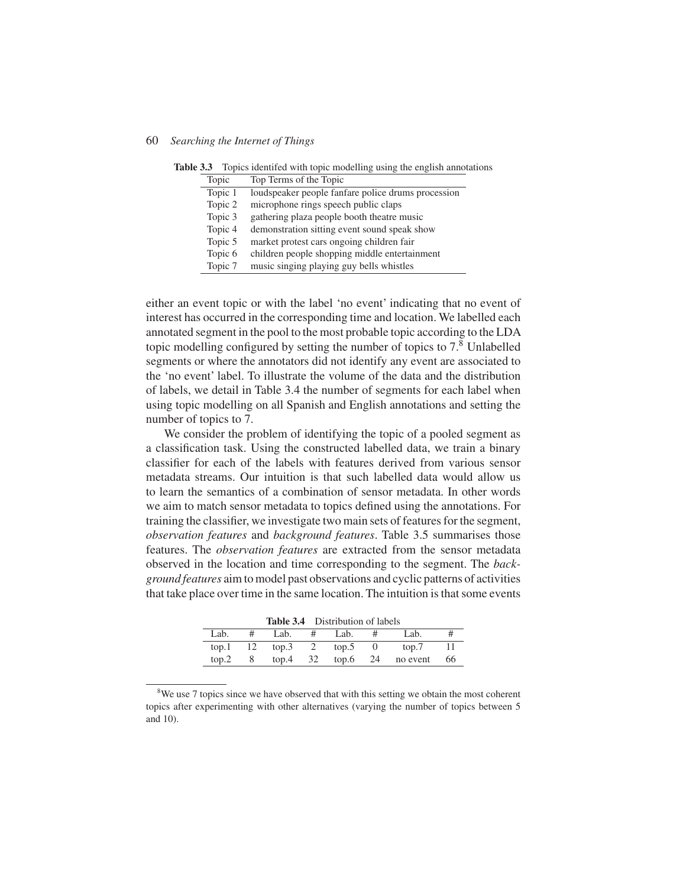|  |         |  |  | Table 3.3 Topics identifed with topic modelling using the english annotations |  |  |  |
|--|---------|--|--|-------------------------------------------------------------------------------|--|--|--|
|  | _______ |  |  |                                                                               |  |  |  |

| Topic   | Top Terms of the Topic                             |
|---------|----------------------------------------------------|
| Topic 1 | loudspeaker people fanfare police drums procession |
| Topic 2 | microphone rings speech public claps               |
| Topic 3 | gathering plaza people booth theatre music         |
| Topic 4 | demonstration sitting event sound speak show       |
| Topic 5 | market protest cars ongoing children fair          |
| Topic 6 | children people shopping middle entertainment      |
| Topic 7 | music singing playing guy bells whistles           |
|         |                                                    |

either an event topic or with the label 'no event' indicating that no event of interest has occurred in the corresponding time and location. We labelled each annotated segment in the pool to the most probable topic according to the LDA topic modelling configured by setting the number of topics to  $7<sup>8</sup>$  Unlabelled segments or where the annotators did not identify any event are associated to the 'no event' label. To illustrate the volume of the data and the distribution of labels, we detail in Table 3.4 the number of segments for each label when using topic modelling on all Spanish and English annotations and setting the number of topics to 7.

We consider the problem of identifying the topic of a pooled segment as a classification task. Using the constructed labelled data, we train a binary classifier for each of the labels with features derived from various sensor metadata streams. Our intuition is that such labelled data would allow us to learn the semantics of a combination of sensor metadata. In other words we aim to match sensor metadata to topics defined using the annotations. For training the classifier, we investigate two main sets of features for the segment, *observation features* and *background features*. Table 3.5 summarises those features. The *observation features* are extracted from the sensor metadata observed in the location and time corresponding to the segment. The *background features* aim to model past observations and cyclic patterns of activities that take place over time in the same location. The intuition is that some events

|            |   | <b>Table 3.4</b> Distribution of labels |   |      |   |                              |    |
|------------|---|-----------------------------------------|---|------|---|------------------------------|----|
| Lab.       | # | Lab.                                    | # | Lab. | # | Lab.                         |    |
| $top.1$ 12 |   | top.3 2 top.5 0                         |   |      |   | top.7                        |    |
| top.2      |   |                                         |   |      |   | 8 top.4 32 top.6 24 no event | 66 |

<sup>&</sup>lt;sup>8</sup>We use 7 topics since we have observed that with this setting we obtain the most coherent topics after experimenting with other alternatives (varying the number of topics between 5 and 10).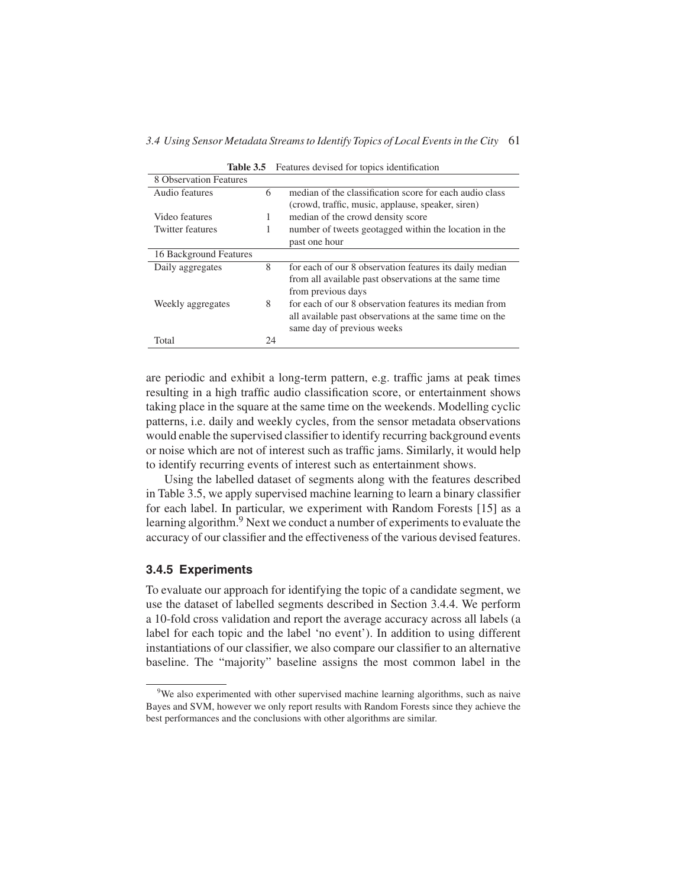|                         |    | <b>Lable 3.3</b> • Features devised for topics identification |
|-------------------------|----|---------------------------------------------------------------|
| 8 Observation Features  |    |                                                               |
| Audio features          | 6  | median of the classification score for each audio class       |
|                         |    | (crowd, traffic, music, applause, speaker, siren)             |
| Video features          | 1  | median of the crowd density score                             |
| <b>Twitter features</b> | 1  | number of tweets geotagged within the location in the         |
|                         |    | past one hour                                                 |
| 16 Background Features  |    |                                                               |
| Daily aggregates        | 8  | for each of our 8 observation features its daily median       |
|                         |    | from all available past observations at the same time         |
|                         |    | from previous days                                            |
| Weekly aggregates       | 8  | for each of our 8 observation features its median from        |
|                         |    | all available past observations at the same time on the       |
|                         |    | same day of previous weeks                                    |
| Total                   | 24 |                                                               |
|                         |    |                                                               |

**Table 3.5** Features devised for topics identification

are periodic and exhibit a long-term pattern, e.g. traffic jams at peak times resulting in a high traffic audio classification score, or entertainment shows taking place in the square at the same time on the weekends. Modelling cyclic patterns, i.e. daily and weekly cycles, from the sensor metadata observations would enable the supervised classifier to identify recurring background events or noise which are not of interest such as traffic jams. Similarly, it would help to identify recurring events of interest such as entertainment shows.

Using the labelled dataset of segments along with the features described in Table 3.5, we apply supervised machine learning to learn a binary classifier for each label. In particular, we experiment with Random Forests [15] as a learning algorithm.<sup>9</sup> Next we conduct a number of experiments to evaluate the accuracy of our classifier and the effectiveness of the various devised features.

## **3.4.5 Experiments**

To evaluate our approach for identifying the topic of a candidate segment, we use the dataset of labelled segments described in Section 3.4.4. We perform a 10-fold cross validation and report the average accuracy across all labels (a label for each topic and the label 'no event'). In addition to using different instantiations of our classifier, we also compare our classifier to an alternative baseline. The "majority" baseline assigns the most common label in the

<sup>&</sup>lt;sup>9</sup>We also experimented with other supervised machine learning algorithms, such as naive Bayes and SVM, however we only report results with Random Forests since they achieve the best performances and the conclusions with other algorithms are similar.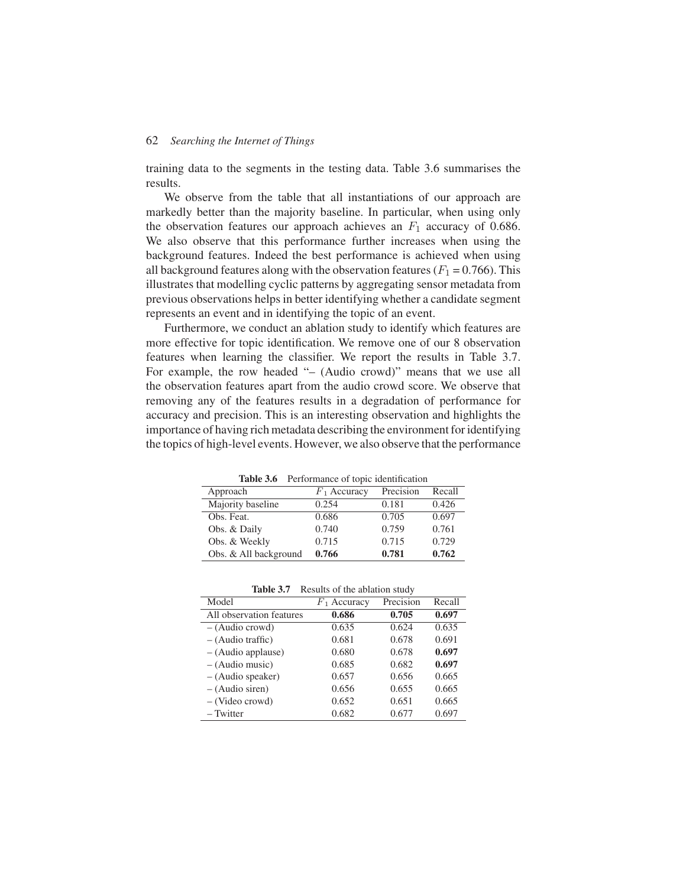training data to the segments in the testing data. Table 3.6 summarises the results.

We observe from the table that all instantiations of our approach are markedly better than the majority baseline. In particular, when using only the observation features our approach achieves an  $F_1$  accuracy of 0.686. We also observe that this performance further increases when using the background features. Indeed the best performance is achieved when using all background features along with the observation features ( $F_1 = 0.766$ ). This illustrates that modelling cyclic patterns by aggregating sensor metadata from previous observations helps in better identifying whether a candidate segment represents an event and in identifying the topic of an event.

Furthermore, we conduct an ablation study to identify which features are more effective for topic identification. We remove one of our 8 observation features when learning the classifier. We report the results in Table 3.7. For example, the row headed "– (Audio crowd)" means that we use all the observation features apart from the audio crowd score. We observe that removing any of the features results in a degradation of performance for accuracy and precision. This is an interesting observation and highlights the importance of having rich metadata describing the environment for identifying the topics of high-level events. However, we also observe that the performance

**Table 3.6** Performance of topic identification

|                       | <b>TWOTE CIONAL TELECOMMUNICAL COMPTETE INSTITUTIONS</b> |           |        |
|-----------------------|----------------------------------------------------------|-----------|--------|
| Approach              | $F_1$ Accuracy                                           | Precision | Recall |
| Majority baseline     | 0.254                                                    | 0.181     | 0.426  |
| Obs. Feat.            | 0.686                                                    | 0.705     | 0.697  |
| Obs. & Daily          | 0.740                                                    | 0.759     | 0.761  |
| Obs. & Weekly         | 0.715                                                    | 0.715     | 0.729  |
| Obs. & All background | 0.766                                                    | 0.781     | 0.762  |

**Table 3.7** Results of the ablation study

| Model                    | $F_1$ Accuracy | Precision | Recall |
|--------------------------|----------------|-----------|--------|
| All observation features | 0.686          | 0.705     | 0.697  |
| $-$ (Audio crowd)        | 0.635          | 0.624     | 0.635  |
| $-$ (Audio traffic)      | 0.681          | 0.678     | 0.691  |
| $-$ (Audio applause)     | 0.680          | 0.678     | 0.697  |
| $-$ (Audio music)        | 0.685          | 0.682     | 0.697  |
| $-$ (Audio speaker)      | 0.657          | 0.656     | 0.665  |
| $-$ (Audio siren)        | 0.656          | 0.655     | 0.665  |
| $-$ (Video crowd)        | 0.652          | 0.651     | 0.665  |
| – Twitter                | 0.682          | 0.677     | 0.697  |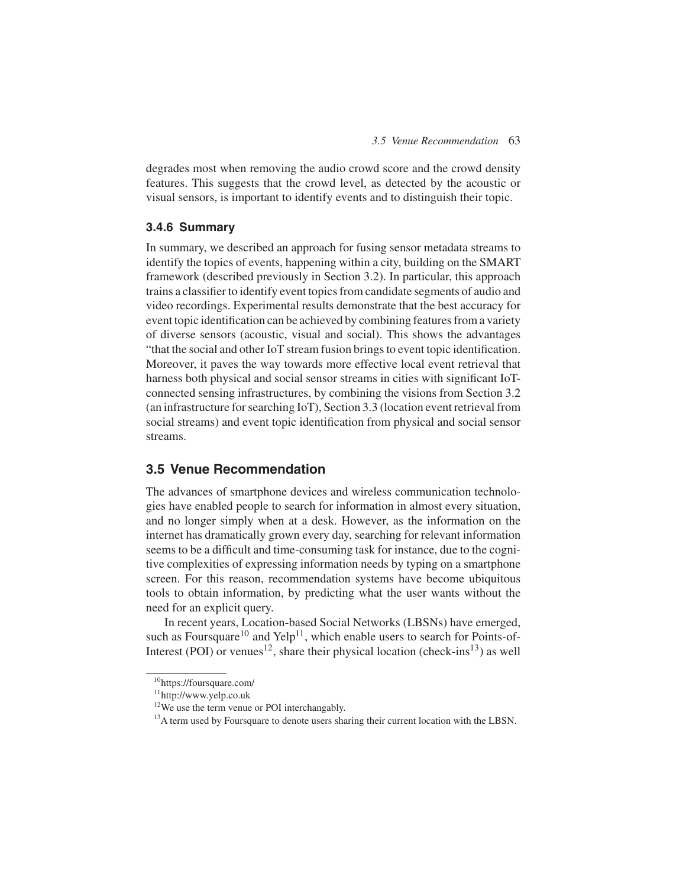degrades most when removing the audio crowd score and the crowd density features. This suggests that the crowd level, as detected by the acoustic or visual sensors, is important to identify events and to distinguish their topic.

## **3.4.6 Summary**

In summary, we described an approach for fusing sensor metadata streams to identify the topics of events, happening within a city, building on the SMART framework (described previously in Section 3.2). In particular, this approach trains a classifier to identify event topics from candidate segments of audio and video recordings. Experimental results demonstrate that the best accuracy for event topic identification can be achieved by combining features from a variety of diverse sensors (acoustic, visual and social). This shows the advantages "that the social and other IoT stream fusion brings to event topic identification. Moreover, it paves the way towards more effective local event retrieval that harness both physical and social sensor streams in cities with significant IoTconnected sensing infrastructures, by combining the visions from Section 3.2 (an infrastructure for searching IoT), Section 3.3 (location event retrieval from social streams) and event topic identification from physical and social sensor streams.

## **3.5 Venue Recommendation**

The advances of smartphone devices and wireless communication technologies have enabled people to search for information in almost every situation, and no longer simply when at a desk. However, as the information on the internet has dramatically grown every day, searching for relevant information seems to be a difficult and time-consuming task for instance, due to the cognitive complexities of expressing information needs by typing on a smartphone screen. For this reason, recommendation systems have become ubiquitous tools to obtain information, by predicting what the user wants without the need for an explicit query.

In recent years, Location-based Social Networks (LBSNs) have emerged, such as Foursquare<sup>10</sup> and Yelp<sup>11</sup>, which enable users to search for Points-of-Interest (POI) or venues<sup>12</sup>, share their physical location (check-ins<sup>13</sup>) as well

<sup>10</sup>https://foursquare.com/

<sup>11</sup>http://www.yelp.co.uk

<sup>&</sup>lt;sup>12</sup>We use the term venue or POI interchangably.

<sup>&</sup>lt;sup>13</sup>A term used by Foursquare to denote users sharing their current location with the LBSN.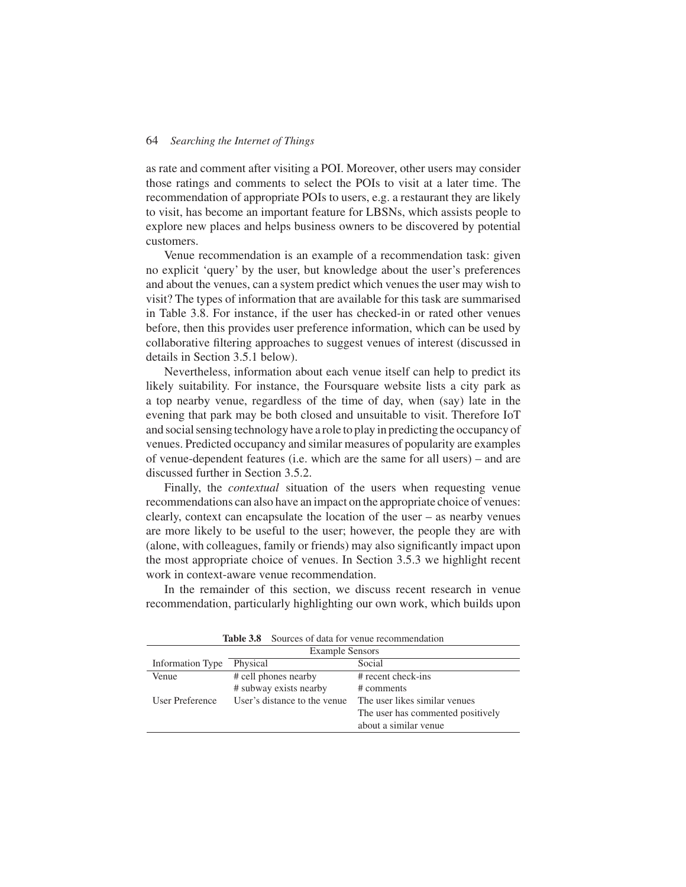as rate and comment after visiting a POI. Moreover, other users may consider those ratings and comments to select the POIs to visit at a later time. The recommendation of appropriate POIs to users, e.g. a restaurant they are likely to visit, has become an important feature for LBSNs, which assists people to explore new places and helps business owners to be discovered by potential customers.

Venue recommendation is an example of a recommendation task: given no explicit 'query' by the user, but knowledge about the user's preferences and about the venues, can a system predict which venues the user may wish to visit? The types of information that are available for this task are summarised in Table 3.8. For instance, if the user has checked-in or rated other venues before, then this provides user preference information, which can be used by collaborative filtering approaches to suggest venues of interest (discussed in details in Section 3.5.1 below).

Nevertheless, information about each venue itself can help to predict its likely suitability. For instance, the Foursquare website lists a city park as a top nearby venue, regardless of the time of day, when (say) late in the evening that park may be both closed and unsuitable to visit. Therefore IoT and social sensing technology have a role to play in predicting the occupancy of venues. Predicted occupancy and similar measures of popularity are examples of venue-dependent features (i.e. which are the same for all users) – and are discussed further in Section 3.5.2.

Finally, the *contextual* situation of the users when requesting venue recommendations can also have an impact on the appropriate choice of venues: clearly, context can encapsulate the location of the user – as nearby venues are more likely to be useful to the user; however, the people they are with (alone, with colleagues, family or friends) may also significantly impact upon the most appropriate choice of venues. In Section 3.5.3 we highlight recent work in context-aware venue recommendation.

In the remainder of this section, we discuss recent research in venue recommendation, particularly highlighting our own work, which builds upon

| <b>Example Sensors</b> |                              |                                   |  |  |  |
|------------------------|------------------------------|-----------------------------------|--|--|--|
| Information Type       | Physical                     | Social                            |  |  |  |
| Venue                  | # cell phones nearby         | $#$ recent check-ins              |  |  |  |
|                        | # subway exists nearby       | # comments                        |  |  |  |
| User Preference        | User's distance to the venue | The user likes similar venues     |  |  |  |
|                        |                              | The user has commented positively |  |  |  |
|                        |                              | about a similar venue             |  |  |  |

**Table 3.8** Sources of data for venue recommendation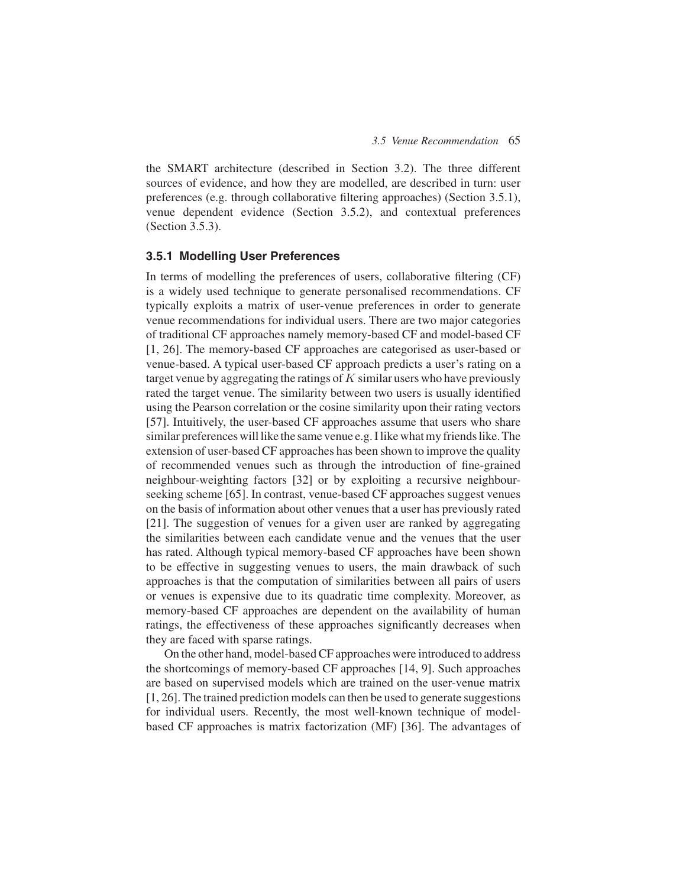the SMART architecture (described in Section 3.2). The three different sources of evidence, and how they are modelled, are described in turn: user preferences (e.g. through collaborative filtering approaches) (Section 3.5.1), venue dependent evidence (Section 3.5.2), and contextual preferences (Section 3.5.3).

### **3.5.1 Modelling User Preferences**

In terms of modelling the preferences of users, collaborative filtering (CF) is a widely used technique to generate personalised recommendations. CF typically exploits a matrix of user-venue preferences in order to generate venue recommendations for individual users. There are two major categories of traditional CF approaches namely memory-based CF and model-based CF [1, 26]. The memory-based CF approaches are categorised as user-based or venue-based. A typical user-based CF approach predicts a user's rating on a target venue by aggregating the ratings of  $K$  similar users who have previously rated the target venue. The similarity between two users is usually identified using the Pearson correlation or the cosine similarity upon their rating vectors [57]. Intuitively, the user-based CF approaches assume that users who share similar preferences will like the same venue e.g. I like what my friends like. The extension of user-based CF approaches has been shown to improve the quality of recommended venues such as through the introduction of fine-grained neighbour-weighting factors [32] or by exploiting a recursive neighbourseeking scheme [65]. In contrast, venue-based CF approaches suggest venues on the basis of information about other venues that a user has previously rated [21]. The suggestion of venues for a given user are ranked by aggregating the similarities between each candidate venue and the venues that the user has rated. Although typical memory-based CF approaches have been shown to be effective in suggesting venues to users, the main drawback of such approaches is that the computation of similarities between all pairs of users or venues is expensive due to its quadratic time complexity. Moreover, as memory-based CF approaches are dependent on the availability of human ratings, the effectiveness of these approaches significantly decreases when they are faced with sparse ratings.

On the other hand, model-based CF approaches were introduced to address the shortcomings of memory-based CF approaches [14, 9]. Such approaches are based on supervised models which are trained on the user-venue matrix [1, 26]. The trained prediction models can then be used to generate suggestions for individual users. Recently, the most well-known technique of modelbased CF approaches is matrix factorization (MF) [36]. The advantages of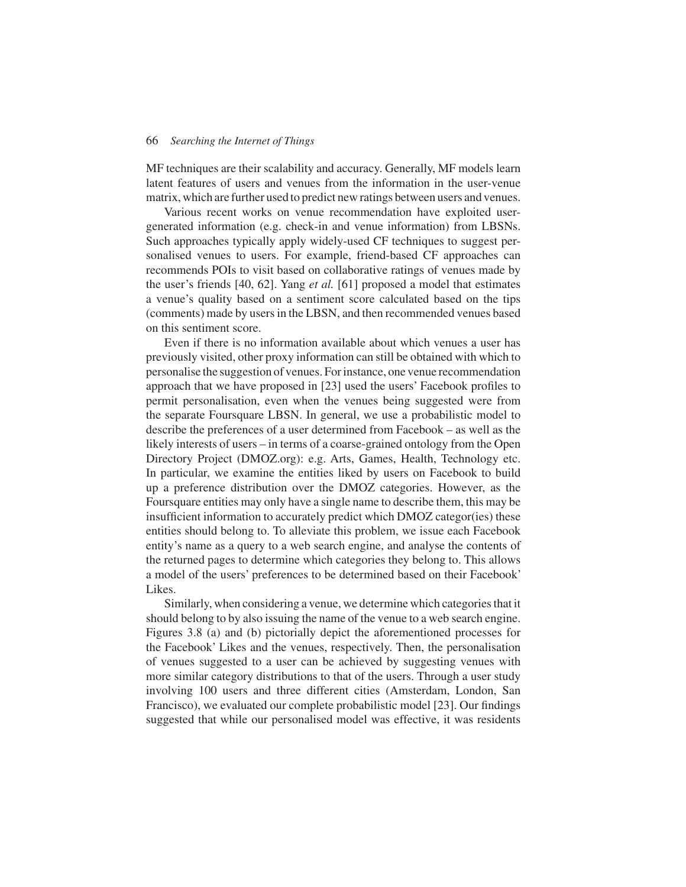MF techniques are their scalability and accuracy. Generally, MF models learn latent features of users and venues from the information in the user-venue matrix, which are further used to predict new ratings between users and venues.

Various recent works on venue recommendation have exploited usergenerated information (e.g. check-in and venue information) from LBSNs. Such approaches typically apply widely-used CF techniques to suggest personalised venues to users. For example, friend-based CF approaches can recommends POIs to visit based on collaborative ratings of venues made by the user's friends [40, 62]. Yang *et al.* [61] proposed a model that estimates a venue's quality based on a sentiment score calculated based on the tips (comments) made by users in the LBSN, and then recommended venues based on this sentiment score.

Even if there is no information available about which venues a user has previously visited, other proxy information can still be obtained with which to personalise the suggestion of venues. For instance, one venue recommendation approach that we have proposed in [23] used the users' Facebook profiles to permit personalisation, even when the venues being suggested were from the separate Foursquare LBSN. In general, we use a probabilistic model to describe the preferences of a user determined from Facebook – as well as the likely interests of users – in terms of a coarse-grained ontology from the Open Directory Project (DMOZ.org): e.g. Arts, Games, Health, Technology etc. In particular, we examine the entities liked by users on Facebook to build up a preference distribution over the DMOZ categories. However, as the Foursquare entities may only have a single name to describe them, this may be insufficient information to accurately predict which DMOZ categor(ies) these entities should belong to. To alleviate this problem, we issue each Facebook entity's name as a query to a web search engine, and analyse the contents of the returned pages to determine which categories they belong to. This allows a model of the users' preferences to be determined based on their Facebook' Likes.

Similarly, when considering a venue, we determine which categories that it should belong to by also issuing the name of the venue to a web search engine. Figures 3.8 (a) and (b) pictorially depict the aforementioned processes for the Facebook' Likes and the venues, respectively. Then, the personalisation of venues suggested to a user can be achieved by suggesting venues with more similar category distributions to that of the users. Through a user study involving 100 users and three different cities (Amsterdam, London, San Francisco), we evaluated our complete probabilistic model [23]. Our findings suggested that while our personalised model was effective, it was residents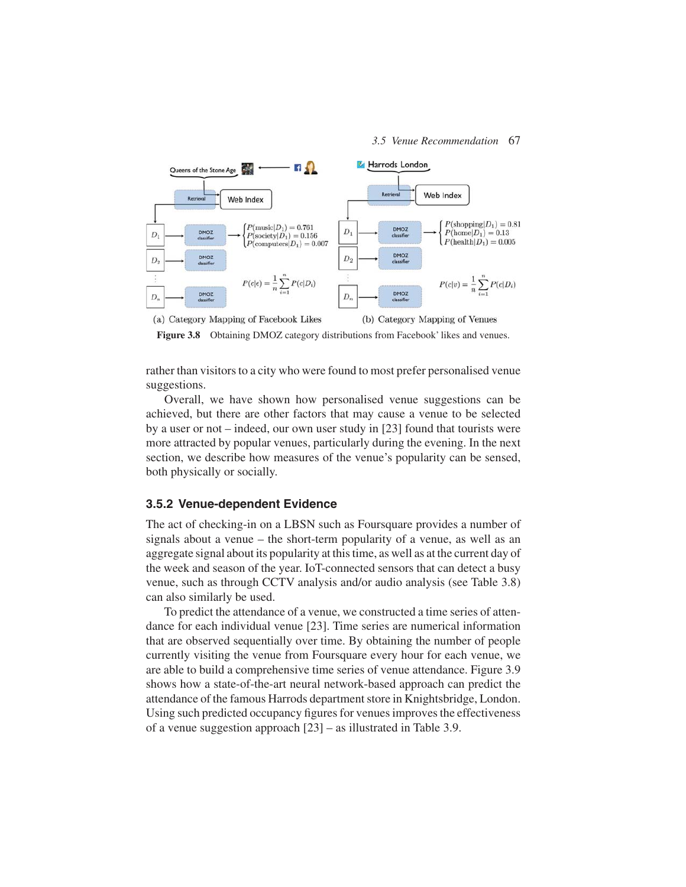

Figure 3.8 Obtaining DMOZ category distributions from Facebook' likes and venues.

rather than visitors to a city who were found to most prefer personalised venue suggestions.

Overall, we have shown how personalised venue suggestions can be achieved, but there are other factors that may cause a venue to be selected by a user or not – indeed, our own user study in [23] found that tourists were more attracted by popular venues, particularly during the evening. In the next section, we describe how measures of the venue's popularity can be sensed, both physically or socially.

#### **3.5.2 Venue-dependent Evidence**

The act of checking-in on a LBSN such as Foursquare provides a number of signals about a venue – the short-term popularity of a venue, as well as an aggregate signal about its popularity at this time, as well as at the current day of the week and season of the year. IoT-connected sensors that can detect a busy venue, such as through CCTV analysis and/or audio analysis (see Table 3.8) can also similarly be used.

To predict the attendance of a venue, we constructed a time series of attendance for each individual venue [23]. Time series are numerical information that are observed sequentially over time. By obtaining the number of people currently visiting the venue from Foursquare every hour for each venue, we are able to build a comprehensive time series of venue attendance. Figure 3.9 shows how a state-of-the-art neural network-based approach can predict the attendance of the famous Harrods department store in Knightsbridge, London. Using such predicted occupancy figures for venues improves the effectiveness of a venue suggestion approach [23] – as illustrated in Table 3.9.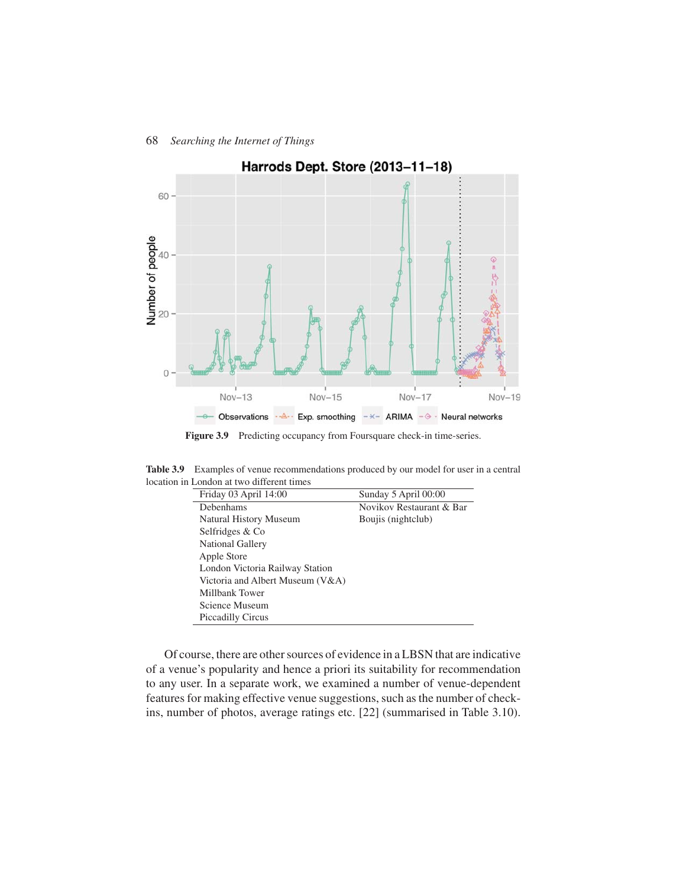

Figure 3.9 Predicting occupancy from Foursquare check-in time-series.

**Table 3.9** Examples of venue recommendations produced by our model for user in a central location in London at two different times

| Friday 03 April 14:00            | Sunday 5 April 00:00     |
|----------------------------------|--------------------------|
| Debenhams                        | Novikov Restaurant & Bar |
| Natural History Museum           | Boujis (nightclub)       |
| Selfridges & Co                  |                          |
| <b>National Gallery</b>          |                          |
| Apple Store                      |                          |
| London Victoria Railway Station  |                          |
| Victoria and Albert Museum (V&A) |                          |
| Millbank Tower                   |                          |
| Science Museum                   |                          |
| <b>Piccadilly Circus</b>         |                          |

Of course, there are other sources of evidence in a LBSN that are indicative of a venue's popularity and hence a priori its suitability for recommendation to any user. In a separate work, we examined a number of venue-dependent features for making effective venue suggestions, such as the number of checkins, number of photos, average ratings etc. [22] (summarised in Table 3.10).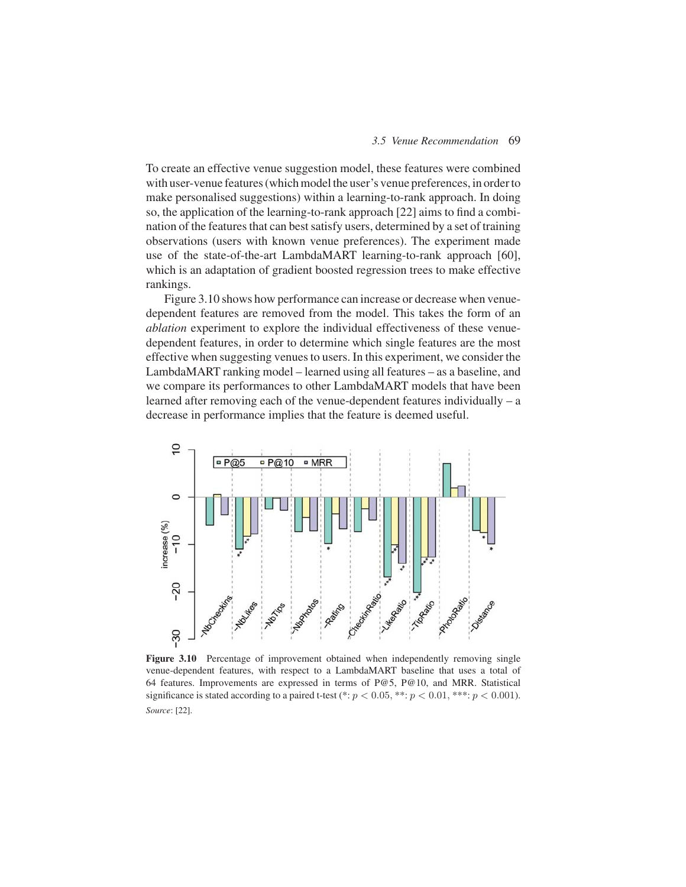To create an effective venue suggestion model, these features were combined with user-venue features (which model the user's venue preferences, in order to make personalised suggestions) within a learning-to-rank approach. In doing so, the application of the learning-to-rank approach [22] aims to find a combination of the features that can best satisfy users, determined by a set of training observations (users with known venue preferences). The experiment made use of the state-of-the-art LambdaMART learning-to-rank approach [60], which is an adaptation of gradient boosted regression trees to make effective rankings.

Figure 3.10 shows how performance can increase or decrease when venuedependent features are removed from the model. This takes the form of an *ablation* experiment to explore the individual effectiveness of these venuedependent features, in order to determine which single features are the most effective when suggesting venues to users. In this experiment, we consider the LambdaMART ranking model – learned using all features – as a baseline, and we compare its performances to other LambdaMART models that have been learned after removing each of the venue-dependent features individually – a decrease in performance implies that the feature is deemed useful.



Figure 3.10 Percentage of improvement obtained when independently removing single venue-dependent features, with respect to a LambdaMART baseline that uses a total of 64 features. Improvements are expressed in terms of P@5, P@10, and MRR. Statistical significance is stated according to a paired t-test (\*:  $p < 0.05$ , \*\*:  $p < 0.01$ , \*\*\*:  $p < 0.001$ ). *Source*: [22].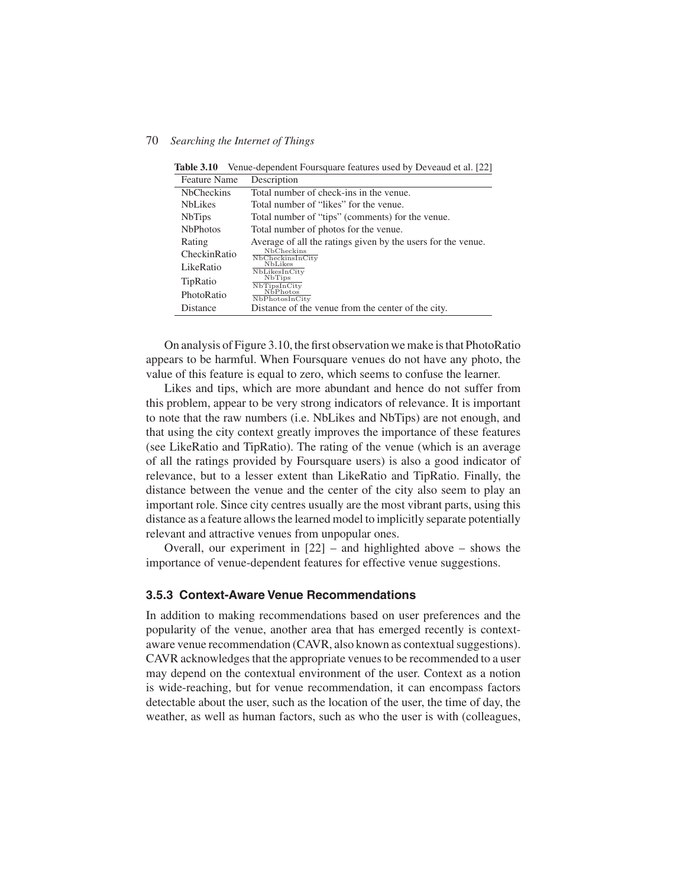| <b>Feature Name</b> | Description                                                  |
|---------------------|--------------------------------------------------------------|
| <b>NbCheckins</b>   | Total number of check-ins in the venue.                      |
| <b>NbLikes</b>      | Total number of "likes" for the venue.                       |
| <b>NbTips</b>       | Total number of "tips" (comments) for the venue.             |
| <b>NbPhotos</b>     | Total number of photos for the venue.                        |
| Rating              | Average of all the ratings given by the users for the venue. |
| CheckinRatio        | NbCheckins<br>NbCheckinsInCity                               |
| LikeRatio           | <b>NbLikes</b><br>NbLikesInCity                              |
| TipRatio            | <b>NbTips</b><br>NbTipsInCity                                |
| PhotoRatio          | NbPhotos <sup>®</sup><br>NbPhotosInCity                      |
| Distance            | Distance of the venue from the center of the city.           |

**Table 3.10** Venue-dependent Foursquare features used by Deveaud et al. [22]

On analysis of Figure 3.10, the first observation we make is that PhotoRatio appears to be harmful. When Foursquare venues do not have any photo, the value of this feature is equal to zero, which seems to confuse the learner.

Likes and tips, which are more abundant and hence do not suffer from this problem, appear to be very strong indicators of relevance. It is important to note that the raw numbers (i.e. NbLikes and NbTips) are not enough, and that using the city context greatly improves the importance of these features (see LikeRatio and TipRatio). The rating of the venue (which is an average of all the ratings provided by Foursquare users) is also a good indicator of relevance, but to a lesser extent than LikeRatio and TipRatio. Finally, the distance between the venue and the center of the city also seem to play an important role. Since city centres usually are the most vibrant parts, using this distance as a feature allows the learned model to implicitly separate potentially relevant and attractive venues from unpopular ones.

Overall, our experiment in  $[22]$  – and highlighted above – shows the importance of venue-dependent features for effective venue suggestions.

### **3.5.3 Context-Aware Venue Recommendations**

In addition to making recommendations based on user preferences and the popularity of the venue, another area that has emerged recently is contextaware venue recommendation (CAVR, also known as contextual suggestions). CAVR acknowledges that the appropriate venues to be recommended to a user may depend on the contextual environment of the user. Context as a notion is wide-reaching, but for venue recommendation, it can encompass factors detectable about the user, such as the location of the user, the time of day, the weather, as well as human factors, such as who the user is with (colleagues,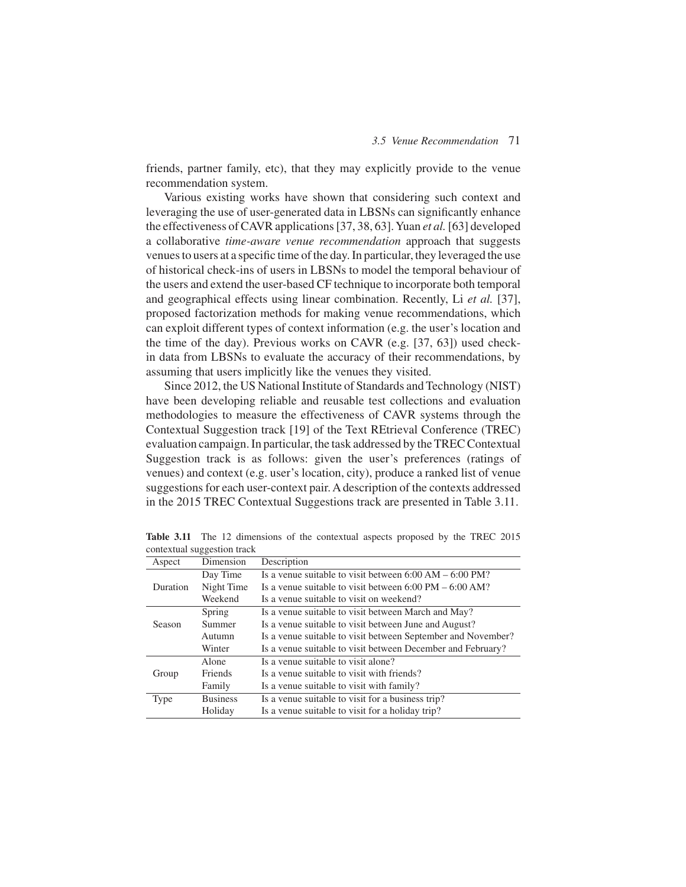friends, partner family, etc), that they may explicitly provide to the venue recommendation system.

Various existing works have shown that considering such context and leveraging the use of user-generated data in LBSNs can significantly enhance the effectiveness of CAVR applications [37, 38, 63]. Yuan *et al.*[63] developed a collaborative *time-aware venue recommendation* approach that suggests venues to users at a specific time of the day. In particular, they leveraged the use of historical check-ins of users in LBSNs to model the temporal behaviour of the users and extend the user-based CF technique to incorporate both temporal and geographical effects using linear combination. Recently, Li *et al.* [37], proposed factorization methods for making venue recommendations, which can exploit different types of context information (e.g. the user's location and the time of the day). Previous works on CAVR (e.g. [37, 63]) used checkin data from LBSNs to evaluate the accuracy of their recommendations, by assuming that users implicitly like the venues they visited.

Since 2012, the US National Institute of Standards and Technology (NIST) have been developing reliable and reusable test collections and evaluation methodologies to measure the effectiveness of CAVR systems through the Contextual Suggestion track [19] of the Text REtrieval Conference (TREC) evaluation campaign. In particular, the task addressed by the TREC Contextual Suggestion track is as follows: given the user's preferences (ratings of venues) and context (e.g. user's location, city), produce a ranked list of venue suggestions for each user-context pair. A description of the contexts addressed in the 2015 TREC Contextual Suggestions track are presented in Table 3.11.

|          | ت               |                                                                            |
|----------|-----------------|----------------------------------------------------------------------------|
| Aspect   | Dimension       | Description                                                                |
|          | Day Time        | Is a venue suitable to visit between $6:00 AM - 6:00 PM$ ?                 |
| Duration | Night Time      | Is a venue suitable to visit between $6:00 \text{ PM} - 6:00 \text{ AM}$ ? |
|          | Weekend         | Is a venue suitable to visit on weekend?                                   |
|          | Spring          | Is a venue suitable to visit between March and May?                        |
| Season   | Summer          | Is a venue suitable to visit between June and August?                      |
|          | Autumn          | Is a venue suitable to visit between September and November?               |
|          | Winter          | Is a venue suitable to visit between December and February?                |
|          | Alone           | Is a venue suitable to visit alone?                                        |
| Group    | Friends         | Is a venue suitable to visit with friends?                                 |
|          | Family          | Is a venue suitable to visit with family?                                  |
| Type     | <b>Business</b> | Is a venue suitable to visit for a business trip?                          |
|          | Holiday         | Is a venue suitable to visit for a holiday trip?                           |

**Table 3.11** The 12 dimensions of the contextual aspects proposed by the TREC 2015 contextual suggestion track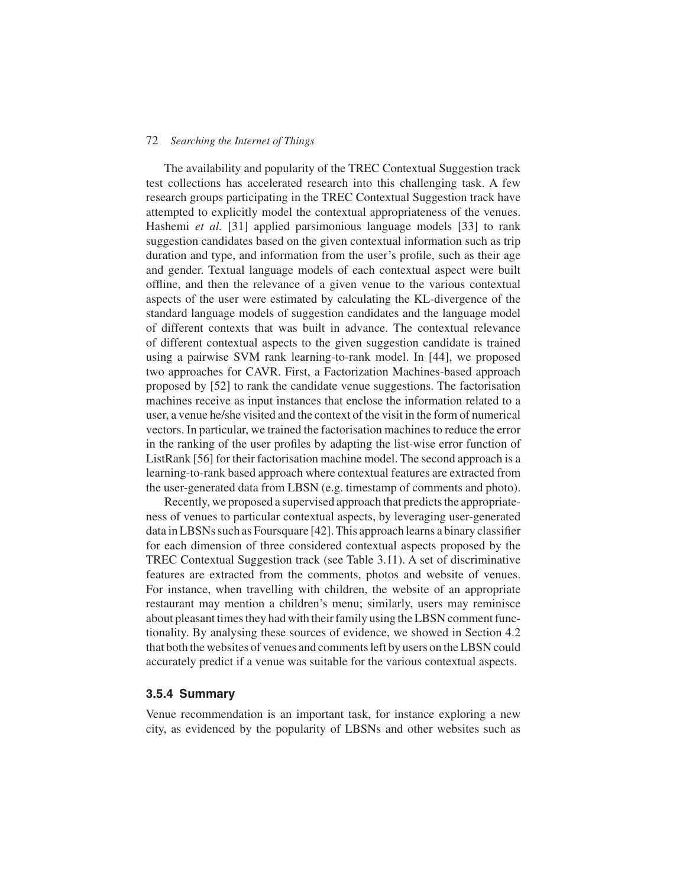The availability and popularity of the TREC Contextual Suggestion track test collections has accelerated research into this challenging task. A few research groups participating in the TREC Contextual Suggestion track have attempted to explicitly model the contextual appropriateness of the venues. Hashemi *et al.* [31] applied parsimonious language models [33] to rank suggestion candidates based on the given contextual information such as trip duration and type, and information from the user's profile, such as their age and gender. Textual language models of each contextual aspect were built offline, and then the relevance of a given venue to the various contextual aspects of the user were estimated by calculating the KL-divergence of the standard language models of suggestion candidates and the language model of different contexts that was built in advance. The contextual relevance of different contextual aspects to the given suggestion candidate is trained using a pairwise SVM rank learning-to-rank model. In [44], we proposed two approaches for CAVR. First, a Factorization Machines-based approach proposed by [52] to rank the candidate venue suggestions. The factorisation machines receive as input instances that enclose the information related to a user, a venue he/she visited and the context of the visit in the form of numerical vectors. In particular, we trained the factorisation machines to reduce the error in the ranking of the user profiles by adapting the list-wise error function of ListRank [56] for their factorisation machine model. The second approach is a learning-to-rank based approach where contextual features are extracted from the user-generated data from LBSN (e.g. timestamp of comments and photo).

Recently, we proposed a supervised approach that predicts the appropriateness of venues to particular contextual aspects, by leveraging user-generated data in LBSNs such as Foursquare [42]. This approach learns a binary classifier for each dimension of three considered contextual aspects proposed by the TREC Contextual Suggestion track (see Table 3.11). A set of discriminative features are extracted from the comments, photos and website of venues. For instance, when travelling with children, the website of an appropriate restaurant may mention a children's menu; similarly, users may reminisce about pleasant times they had with their family using the LBSN comment functionality. By analysing these sources of evidence, we showed in Section 4.2 that both the websites of venues and comments left by users on the LBSN could accurately predict if a venue was suitable for the various contextual aspects.

#### **3.5.4 Summary**

Venue recommendation is an important task, for instance exploring a new city, as evidenced by the popularity of LBSNs and other websites such as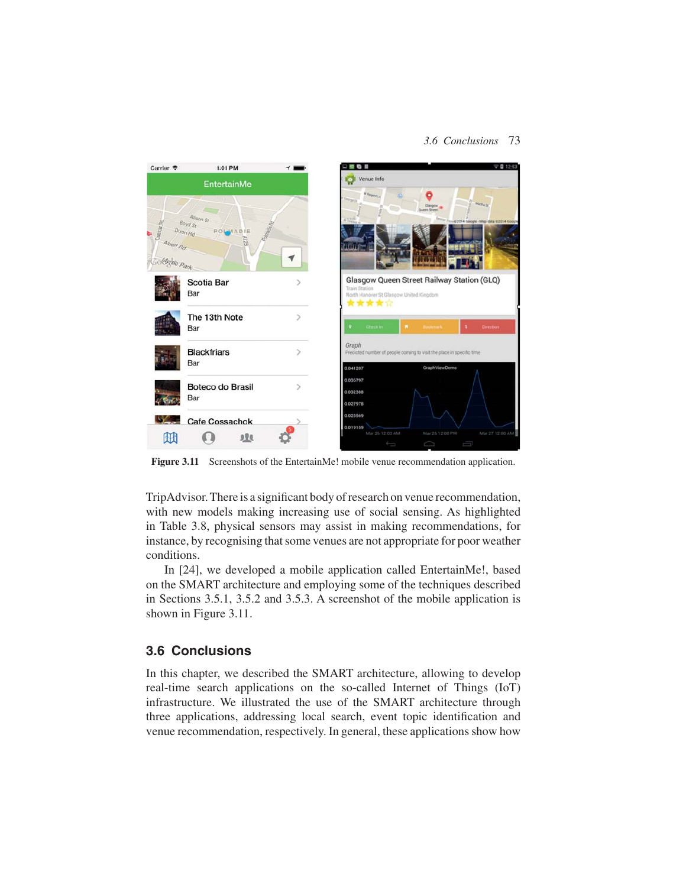#### *3.6 Conclusions* 73



Figure 3.11 Screenshots of the EntertainMe! mobile venue recommendation application.

TripAdvisor. There is a significant body of research on venue recommendation, with new models making increasing use of social sensing. As highlighted in Table 3.8, physical sensors may assist in making recommendations, for instance, by recognising that some venues are not appropriate for poor weather conditions.

In [24], we developed a mobile application called EntertainMe!, based on the SMART architecture and employing some of the techniques described in Sections 3.5.1, 3.5.2 and 3.5.3. A screenshot of the mobile application is shown in Figure 3.11.

## **3.6 Conclusions**

In this chapter, we described the SMART architecture, allowing to develop real-time search applications on the so-called Internet of Things (IoT) infrastructure. We illustrated the use of the SMART architecture through three applications, addressing local search, event topic identification and venue recommendation, respectively. In general, these applications show how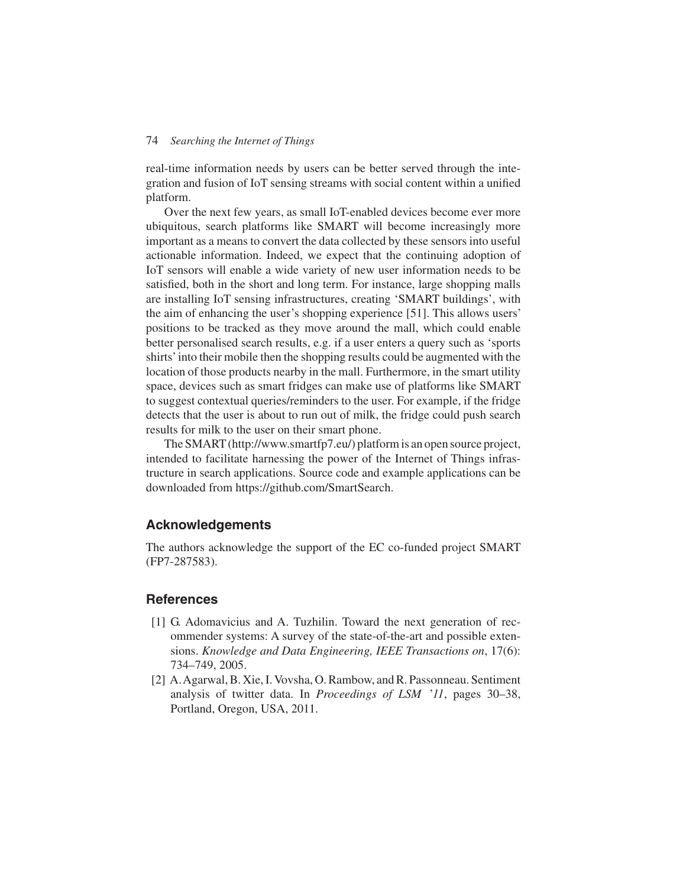real-time information needs by users can be better served through the integration and fusion of IoT sensing streams with social content within a unified platform.

Over the next few years, as small IoT-enabled devices become ever more ubiquitous, search platforms like SMART will become increasingly more important as a means to convert the data collected by these sensors into useful actionable information. Indeed, we expect that the continuing adoption of IoT sensors will enable a wide variety of new user information needs to be satisfied, both in the short and long term. For instance, large shopping malls are installing IoT sensing infrastructures, creating 'SMART buildings', with the aim of enhancing the user's shopping experience [51]. This allows users' positions to be tracked as they move around the mall, which could enable better personalised search results, e.g. if a user enters a query such as 'sports shirts'into their mobile then the shopping results could be augmented with the location of those products nearby in the mall. Furthermore, in the smart utility space, devices such as smart fridges can make use of platforms like SMART to suggest contextual queries/reminders to the user. For example, if the fridge detects that the user is about to run out of milk, the fridge could push search results for milk to the user on their smart phone.

The SMART (http://www.smartfp7.eu/) platform is an open source project, intended to facilitate harnessing the power of the Internet of Things infrastructure in search applications. Source code and example applications can be downloaded from https://github.com/SmartSearch.

## **Acknowledgements**

The authors acknowledge the support of the EC co-funded project SMART (FP7-287583).

## **References**

- [1] G. Adomavicius and A. Tuzhilin. Toward the next generation of recommender systems: A survey of the state-of-the-art and possible extensions. *Knowledge and Data Engineering, IEEE Transactions on*, 17(6): 734–749, 2005.
- [2] A.Agarwal, B. Xie, I. Vovsha, O. Rambow, and R. Passonneau. Sentiment analysis of twitter data. In *Proceedings of LSM* '*11*, pages 30–38, Portland, Oregon, USA, 2011.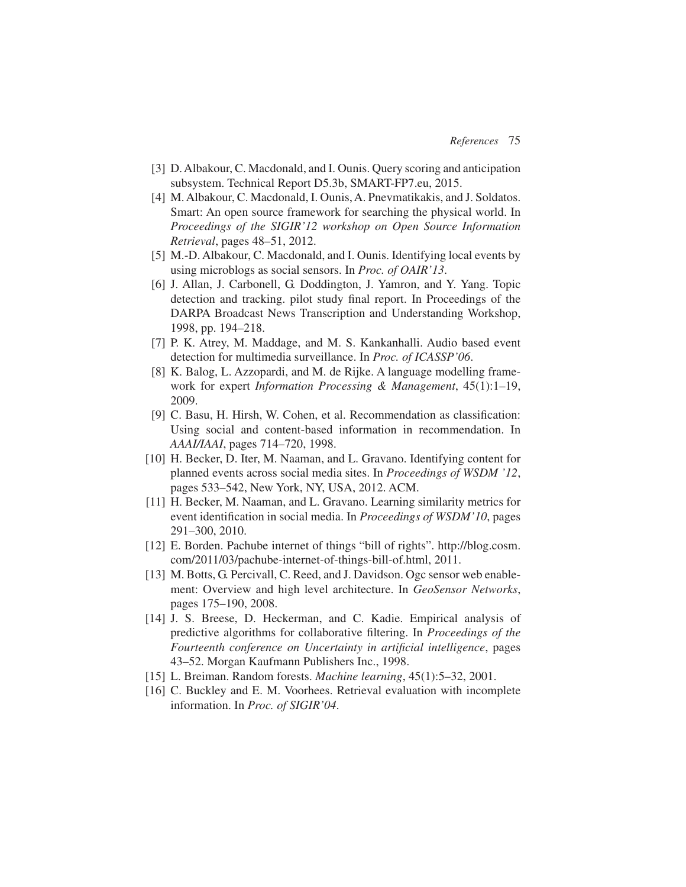- [3] D. Albakour, C. Macdonald, and I. Ounis. Query scoring and anticipation subsystem. Technical Report D5.3b, SMART-FP7.eu, 2015.
- [4] M. Albakour, C. Macdonald, I. Ounis, A. Pnevmatikakis, and J. Soldatos. Smart: An open source framework for searching the physical world. In *Proceedings of the SIGIR'12 workshop on Open Source Information Retrieval*, pages 48–51, 2012.
- [5] M.-D. Albakour, C. Macdonald, and I. Ounis. Identifying local events by using microblogs as social sensors. In *Proc. of OAIR'13*.
- [6] J. Allan, J. Carbonell, G. Doddington, J. Yamron, and Y. Yang. Topic detection and tracking. pilot study final report. In Proceedings of the DARPA Broadcast News Transcription and Understanding Workshop, 1998, pp. 194–218.
- [7] P. K. Atrey, M. Maddage, and M. S. Kankanhalli. Audio based event detection for multimedia surveillance. In *Proc. of ICASSP'06*.
- [8] K. Balog, L. Azzopardi, and M. de Rijke. A language modelling framework for expert *Information Processing & Management*, 45(1):1–19, 2009.
- [9] C. Basu, H. Hirsh, W. Cohen, et al. Recommendation as classification: Using social and content-based information in recommendation. In *AAAI/IAAI*, pages 714–720, 1998.
- [10] H. Becker, D. Iter, M. Naaman, and L. Gravano. Identifying content for planned events across social media sites. In *Proceedings of WSDM '12*, pages 533–542, New York, NY, USA, 2012. ACM.
- [11] H. Becker, M. Naaman, and L. Gravano. Learning similarity metrics for event identification in social media. In *Proceedings of WSDM'10*, pages 291–300, 2010.
- [12] E. Borden. Pachube internet of things "bill of rights". http://blog.cosm. com/2011/03/pachube-internet-of-things-bill-of.html, 2011.
- [13] M. Botts, G. Percivall, C. Reed, and J. Davidson. Ogc sensor web enablement: Overview and high level architecture. In *GeoSensor Networks*, pages 175–190, 2008.
- [14] J. S. Breese, D. Heckerman, and C. Kadie. Empirical analysis of predictive algorithms for collaborative filtering. In *Proceedings of the Fourteenth conference on Uncertainty in artificial intelligence*, pages 43–52. Morgan Kaufmann Publishers Inc., 1998.
- [15] L. Breiman. Random forests. *Machine learning*, 45(1):5–32, 2001.
- [16] C. Buckley and E. M. Voorhees. Retrieval evaluation with incomplete information. In *Proc. of SIGIR'04*.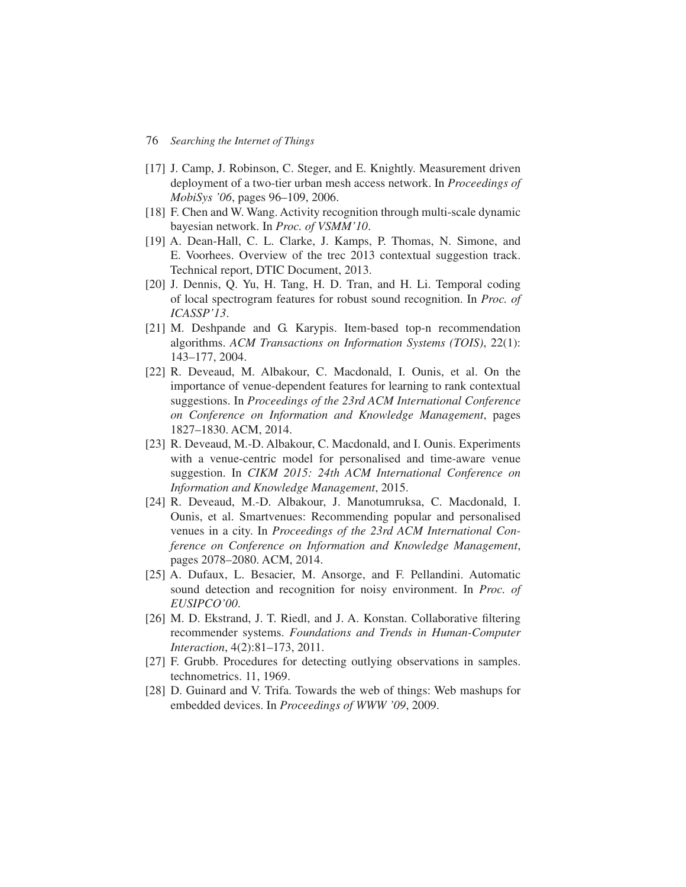- [17] J. Camp, J. Robinson, C. Steger, and E. Knightly. Measurement driven deployment of a two-tier urban mesh access network. In *Proceedings of MobiSys '06*, pages 96–109, 2006.
- [18] F. Chen and W. Wang. Activity recognition through multi-scale dynamic bayesian network. In *Proc. of VSMM'10*.
- [19] A. Dean-Hall, C. L. Clarke, J. Kamps, P. Thomas, N. Simone, and E. Voorhees. Overview of the trec 2013 contextual suggestion track. Technical report, DTIC Document, 2013.
- [20] J. Dennis, Q. Yu, H. Tang, H. D. Tran, and H. Li. Temporal coding of local spectrogram features for robust sound recognition. In *Proc. of ICASSP'13*.
- [21] M. Deshpande and G. Karypis. Item-based top-n recommendation algorithms. *ACM Transactions on Information Systems (TOIS)*, 22(1): 143–177, 2004.
- [22] R. Deveaud, M. Albakour, C. Macdonald, I. Ounis, et al. On the importance of venue-dependent features for learning to rank contextual suggestions. In *Proceedings of the 23rd ACM International Conference on Conference on Information and Knowledge Management*, pages 1827–1830. ACM, 2014.
- [23] R. Deveaud, M.-D. Albakour, C. Macdonald, and I. Ounis. Experiments with a venue-centric model for personalised and time-aware venue suggestion. In *CIKM 2015: 24th ACM International Conference on Information and Knowledge Management*, 2015.
- [24] R. Deveaud, M.-D. Albakour, J. Manotumruksa, C. Macdonald, I. Ounis, et al. Smartvenues: Recommending popular and personalised venues in a city. In *Proceedings of the 23rd ACM International Conference on Conference on Information and Knowledge Management*, pages 2078–2080. ACM, 2014.
- [25] A. Dufaux, L. Besacier, M. Ansorge, and F. Pellandini. Automatic sound detection and recognition for noisy environment. In *Proc. of EUSIPCO'00*.
- [26] M. D. Ekstrand, J. T. Riedl, and J. A. Konstan. Collaborative filtering recommender systems. *Foundations and Trends in Human-Computer Interaction*, 4(2):81–173, 2011.
- [27] F. Grubb. Procedures for detecting outlying observations in samples. technometrics. 11, 1969.
- [28] D. Guinard and V. Trifa. Towards the web of things: Web mashups for embedded devices. In *Proceedings of WWW '09*, 2009.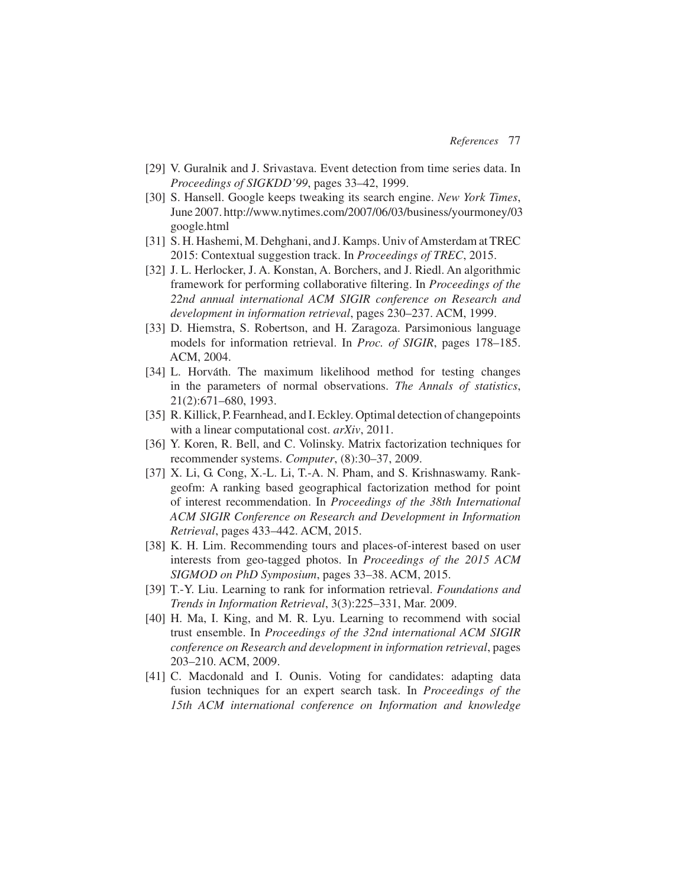- [29] V. Guralnik and J. Srivastava. Event detection from time series data. In *Proceedings of SIGKDD'99*, pages 33–42, 1999.
- [30] S. Hansell. Google keeps tweaking its search engine. *New York Times*, June 2007. http://www.nytimes.com/2007/06/03/business/yourmoney/03 google.html
- [31] S. H. Hashemi, M. Dehghani, and J. Kamps. Univ of Amsterdam at TREC 2015: Contextual suggestion track. In *Proceedings of TREC*, 2015.
- [32] J. L. Herlocker, J. A. Konstan, A. Borchers, and J. Riedl. An algorithmic framework for performing collaborative filtering. In *Proceedings of the 22nd annual international ACM SIGIR conference on Research and development in information retrieval*, pages 230–237. ACM, 1999.
- [33] D. Hiemstra, S. Robertson, and H. Zaragoza. Parsimonious language models for information retrieval. In *Proc. of SIGIR*, pages 178–185. ACM, 2004.
- [34] L. Horváth. The maximum likelihood method for testing changes in the parameters of normal observations. *The Annals of statistics*, 21(2):671–680, 1993.
- [35] R. Killick, P. Fearnhead, and I. Eckley. Optimal detection of changepoints with a linear computational cost. *arXiv*, 2011.
- [36] Y. Koren, R. Bell, and C. Volinsky. Matrix factorization techniques for recommender systems. *Computer*, (8):30–37, 2009.
- [37] X. Li, G. Cong, X.-L. Li, T.-A. N. Pham, and S. Krishnaswamy. Rankgeofm: A ranking based geographical factorization method for point of interest recommendation. In *Proceedings of the 38th International ACM SIGIR Conference on Research and Development in Information Retrieval*, pages 433–442. ACM, 2015.
- [38] K. H. Lim. Recommending tours and places-of-interest based on user interests from geo-tagged photos. In *Proceedings of the 2015 ACM SIGMOD on PhD Symposium*, pages 33–38. ACM, 2015.
- [39] T.-Y. Liu. Learning to rank for information retrieval. *Foundations and Trends in Information Retrieval*, 3(3):225–331, Mar. 2009.
- [40] H. Ma, I. King, and M. R. Lyu. Learning to recommend with social trust ensemble. In *Proceedings of the 32nd international ACM SIGIR conference on Research and development in information retrieval*, pages 203–210. ACM, 2009.
- [41] C. Macdonald and I. Ounis. Voting for candidates: adapting data fusion techniques for an expert search task. In *Proceedings of the 15th ACM international conference on Information and knowledge*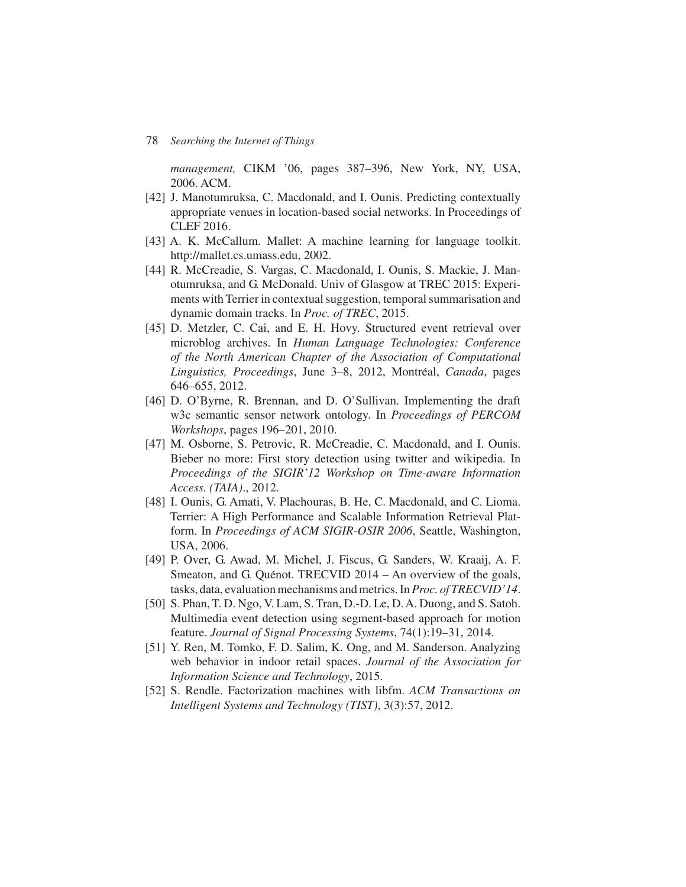*management,* CIKM '06, pages 387–396, New York, NY, USA, 2006. ACM.

- [42] J. Manotumruksa, C. Macdonald, and I. Ounis. Predicting contextually appropriate venues in location-based social networks. In Proceedings of CLEF 2016.
- [43] A. K. McCallum. Mallet: A machine learning for language toolkit. http://mallet.cs.umass.edu, 2002.
- [44] R. McCreadie, S. Vargas, C. Macdonald, I. Ounis, S. Mackie, J. Manotumruksa, and G. McDonald. Univ of Glasgow at TREC 2015: Experiments with Terrier in contextual suggestion, temporal summarisation and dynamic domain tracks. In *Proc. of TREC*, 2015.
- [45] D. Metzler, C. Cai, and E. H. Hovy. Structured event retrieval over microblog archives. In *Human Language Technologies: Conference of the North American Chapter of the Association of Computational Linguistics, Proceedings*, June 3–8, 2012, Montreal, ´ *Canada*, pages 646–655, 2012.
- [46] D. O'Byrne, R. Brennan, and D. O'Sullivan. Implementing the draft w3c semantic sensor network ontology. In *Proceedings of PERCOM Workshops*, pages 196–201, 2010.
- [47] M. Osborne, S. Petrovic, R. McCreadie, C. Macdonald, and I. Ounis. Bieber no more: First story detection using twitter and wikipedia. In *Proceedings of the SIGIR'12 Workshop on Time-aware Information Access. (TAIA)*., 2012.
- [48] I. Ounis, G. Amati, V. Plachouras, B. He, C. Macdonald, and C. Lioma. Terrier: A High Performance and Scalable Information Retrieval Platform. In *Proceedings of ACM SIGIR-OSIR 2006*, Seattle, Washington, USA, 2006.
- [49] P. Over, G. Awad, M. Michel, J. Fiscus, G. Sanders, W. Kraaij, A. F. Smeaton, and G. Quénot. TRECVID 2014 – An overview of the goals, tasks, data, evaluation mechanisms and metrics. In*Proc. of TRECVID'14*.
- [50] S. Phan, T. D. Ngo, V. Lam, S. Tran, D.-D. Le, D. A. Duong, and S. Satoh. Multimedia event detection using segment-based approach for motion feature. *Journal of Signal Processing Systems*, 74(1):19–31, 2014.
- [51] Y. Ren, M. Tomko, F. D. Salim, K. Ong, and M. Sanderson. Analyzing web behavior in indoor retail spaces. *Journal of the Association for Information Science and Technology*, 2015.
- [52] S. Rendle. Factorization machines with libfm. *ACM Transactions on Intelligent Systems and Technology (TIST)*, 3(3):57, 2012.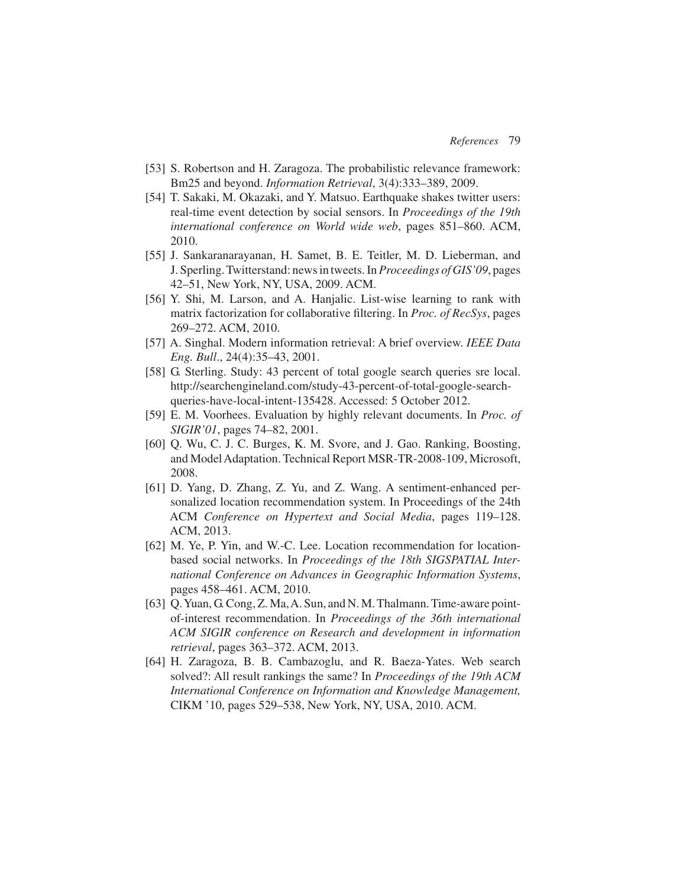- [53] S. Robertson and H. Zaragoza. The probabilistic relevance framework: Bm25 and beyond. *Information Retrieval*, 3(4):333–389, 2009.
- [54] T. Sakaki, M. Okazaki, and Y. Matsuo. Earthquake shakes twitter users: real-time event detection by social sensors. In *Proceedings of the 19th international conference on World wide web*, pages 851–860. ACM, 2010.
- [55] J. Sankaranarayanan, H. Samet, B. E. Teitler, M. D. Lieberman, and J. Sperling. Twitterstand: news in tweets. In*Proceedings of GIS'09*, pages 42–51, New York, NY, USA, 2009. ACM.
- [56] Y. Shi, M. Larson, and A. Hanjalic. List-wise learning to rank with matrix factorization for collaborative filtering. In *Proc. of RecSys*, pages 269–272. ACM, 2010.
- [57] A. Singhal. Modern information retrieval: A brief overview. *IEEE Data Eng. Bull*., 24(4):35–43, 2001.
- [58] G. Sterling. Study: 43 percent of total google search queries sre local. http://searchengineland.com/study-43-percent-of-total-google-searchqueries-have-local-intent-135428. Accessed: 5 October 2012.
- [59] E. M. Voorhees. Evaluation by highly relevant documents. In *Proc. of SIGIR'01*, pages 74–82, 2001.
- [60] O. Wu, C. J. C. Burges, K. M. Svore, and J. Gao. Ranking, Boosting, and Model Adaptation. Technical Report MSR-TR-2008-109, Microsoft, 2008.
- [61] D. Yang, D. Zhang, Z. Yu, and Z. Wang. A sentiment-enhanced personalized location recommendation system. In Proceedings of the 24th ACM *Conference on Hypertext and Social Media*, pages 119–128. ACM, 2013.
- [62] M. Ye, P. Yin, and W.-C. Lee. Location recommendation for locationbased social networks. In *Proceedings of the 18th SIGSPATIAL International Conference on Advances in Geographic Information Systems*, pages 458–461. ACM, 2010.
- [63] Q. Yuan, G. Cong, Z. Ma, A. Sun, and N. M. Thalmann. Time-aware pointof-interest recommendation. In *Proceedings of the 36th international ACM SIGIR conference on Research and development in information retrieval*, pages 363–372. ACM, 2013.
- [64] H. Zaragoza, B. B. Cambazoglu, and R. Baeza-Yates. Web search solved?: All result rankings the same? In *Proceedings of the 19th ACM International Conference on Information and Knowledge Management,* CIKM '10, pages 529–538, New York, NY, USA, 2010. ACM.